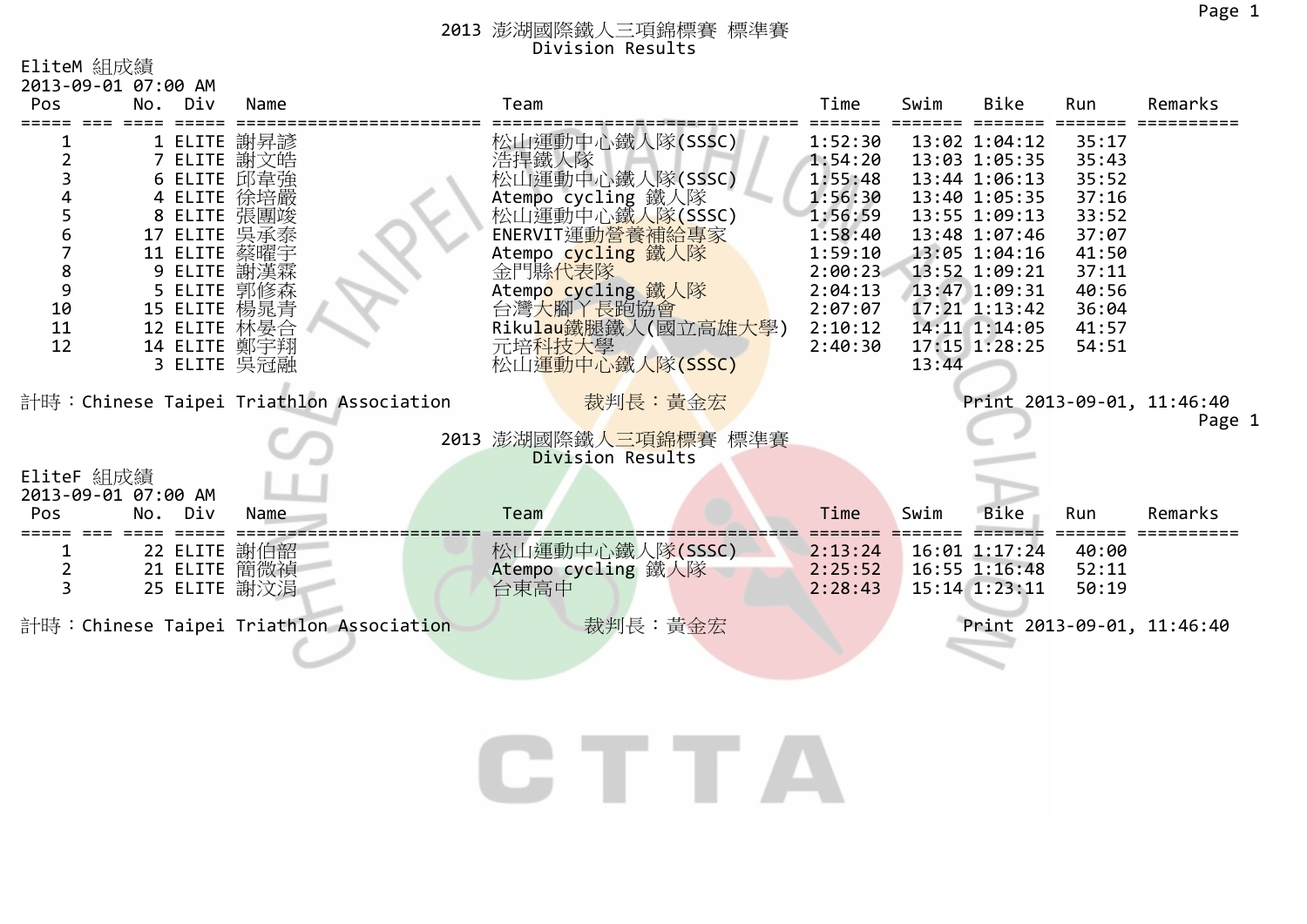1

## 2013 澎湖國際鐵人三項錦標賽 標準賽 Division Results

EliteM 組成績

|                                              | 2013-09-01 07:00 AM                                                      |                                                                                                                             |                                          |                                                                                                                                                                                                                                               |                                                                                                                                  |       |                                                                                                                                                                                                          |                                                                                                          |                            |
|----------------------------------------------|--------------------------------------------------------------------------|-----------------------------------------------------------------------------------------------------------------------------|------------------------------------------|-----------------------------------------------------------------------------------------------------------------------------------------------------------------------------------------------------------------------------------------------|----------------------------------------------------------------------------------------------------------------------------------|-------|----------------------------------------------------------------------------------------------------------------------------------------------------------------------------------------------------------|----------------------------------------------------------------------------------------------------------|----------------------------|
| Pos                                          | Div<br>No.                                                               | Name                                                                                                                        |                                          | Team                                                                                                                                                                                                                                          | Time                                                                                                                             | Swim  | <b>Bike</b>                                                                                                                                                                                              | Run                                                                                                      | Remarks                    |
| 3<br>5<br>6<br>7<br>8<br>9<br>10<br>11<br>12 | 17 ELITE 吳承泰<br>11 ELITE<br>15 ELITE 楊晁青<br>12 ELITE 林晏合<br>14 ELITE 鄭宇翔 | 1 ELITE 謝昇諺<br>7 ELITE 謝文皓<br>6 ELITE 邱韋強<br>4 ELITE 徐培嚴<br>8 ELITE 張團竣<br>蔡曜宇<br>9 ELITE 謝漢霖<br>5 ELITE 郭修森<br>3 ELITE 吳冠融 |                                          | 松山運動中心鐵人隊(SSSC)<br>浩捍鐵人隊<br>松山運動中心鐵人隊(SSSC)<br>Atempo cycling 鐵人隊<br>松山運動中心鐵人隊(SSSC)<br>ENERVIT運動營養補給專家<br>Atempo cycling 鐵人隊<br>金門縣代表隊<br>Atempo cycling 鐵人隊<br>台灣 <mark>大腳丫長跑協會<br/>Rikulau鐵腿鐵人(國立高雄大學)</mark><br>元培科技大學<br>松山運動中心鐵人隊(SSSC) | 1:52:30<br>1:54:20<br>1:55:48<br>1:56:30<br>1:56:59<br>1:58:40<br>1:59:10<br>2:00:23<br>2:04:13<br>2:07:07<br>2:10:12<br>2:40:30 | 13:44 | 13:02 1:04:12<br>13:03 1:05:35<br>13:44 1:06:13<br>13:40 1:05:35<br>13:55 1:09:13<br>13:48 1:07:46<br>13:05 1:04:16<br>13:52 1:09:21<br>13:47 1:09:31<br>17:21 1:13:42<br>14:11 1:14:05<br>17:15 1:28:25 | 35:17<br>35:43<br>35:52<br>37:16<br>33:52<br>37:07<br>41:50<br>37:11<br>40:56<br>36:04<br>41:57<br>54:51 |                            |
|                                              |                                                                          |                                                                                                                             | 計時: Chinese Taipei Triathlon Association | 裁判長:黃金宏                                                                                                                                                                                                                                       |                                                                                                                                  |       |                                                                                                                                                                                                          |                                                                                                          | Print 2013-09-01, 11:46:40 |
|                                              |                                                                          |                                                                                                                             |                                          | 2013 澎湖國際鐵人三項錦標賽 標準賽<br>Division Results                                                                                                                                                                                                      |                                                                                                                                  |       |                                                                                                                                                                                                          |                                                                                                          | Page                       |
| EliteF 組成績                                   | 2013-09-01 07:00 AM                                                      |                                                                                                                             |                                          |                                                                                                                                                                                                                                               |                                                                                                                                  |       |                                                                                                                                                                                                          |                                                                                                          |                            |
| Pos                                          | Div<br>No.                                                               | Name                                                                                                                        |                                          | Team                                                                                                                                                                                                                                          | Time                                                                                                                             | Swim  | <b>Bike</b>                                                                                                                                                                                              | Run                                                                                                      | Remarks                    |
| 2<br>3                                       | 22 ELITE<br>21 ELITE 簡微禎<br>25 ELITE 謝汶涓                                 | 謝伯韶                                                                                                                         |                                          | 松山運動中心鐵人隊(SSSC)<br>Atempo cycling 鐵人隊<br>台東高中                                                                                                                                                                                                 | 2:13:24<br>2:25:52<br>2:28:43                                                                                                    |       | 16:01 1:17:24<br>16:55 1:16:48<br>$15:14$ $1:23:11$                                                                                                                                                      | 40:00<br>52:11<br>50:19                                                                                  |                            |
|                                              |                                                                          |                                                                                                                             | 計時: Chinese Taipei Triathlon Association | 裁判長:黃金宏                                                                                                                                                                                                                                       |                                                                                                                                  |       |                                                                                                                                                                                                          |                                                                                                          | Print 2013-09-01, 11:46:40 |
|                                              |                                                                          |                                                                                                                             |                                          |                                                                                                                                                                                                                                               |                                                                                                                                  |       |                                                                                                                                                                                                          |                                                                                                          |                            |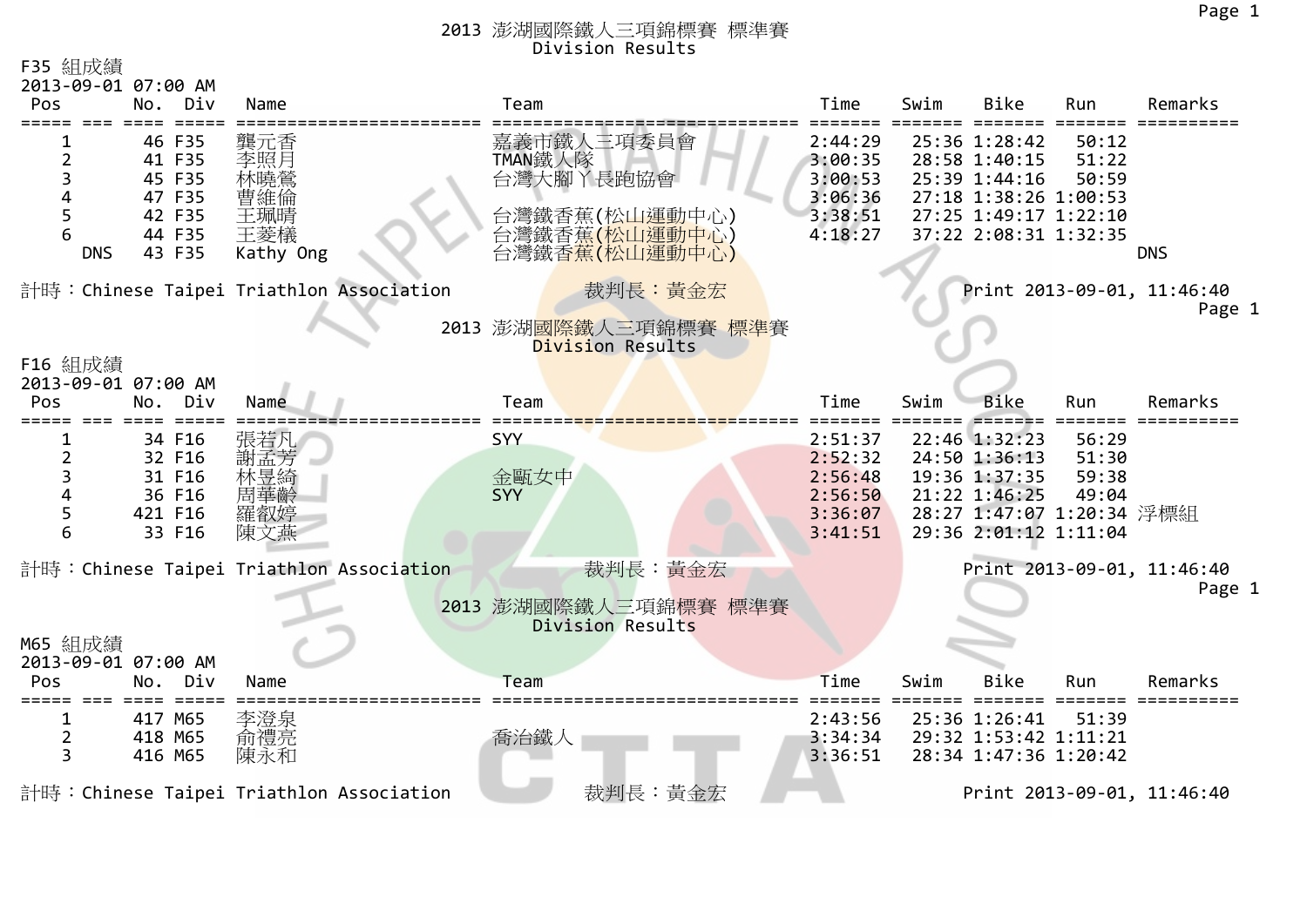| F35 組成績<br>2013-09-01 07:00 AM |                                                                    |                                                     |                                                                                                      |                                                                |      |                                                                                                                            |                         |                            |  |
|--------------------------------|--------------------------------------------------------------------|-----------------------------------------------------|------------------------------------------------------------------------------------------------------|----------------------------------------------------------------|------|----------------------------------------------------------------------------------------------------------------------------|-------------------------|----------------------------|--|
| Pos                            | No.<br>Div                                                         | Name                                                | Team                                                                                                 | Time                                                           | Swim | <b>Bike</b>                                                                                                                | Run                     | Remarks                    |  |
| 2<br>5<br><b>DNS</b>           | 46 F35<br>41 F35<br>45 F35<br>47 F35<br>42 F35<br>44 F35<br>43 F35 | 龔元香<br>李照月<br>林曉鶯<br>曹維倫<br>王珮晴<br>王菱檥<br>Kathy Ong | 嘉義市鐵人三項委員會<br>TMAN鐵人隊<br>台灣大腳丫長跑協會<br>台灣鐵香蕉(松山運動中心)<br>台灣鐵香蕉 <mark>(松山運動中心</mark> )<br>台灣鐵香蕉(松山運動中心) | 2:44:29<br>3:00:35<br>3:00:53<br>3:06:36<br>3:38:51<br>4:18:27 |      | 25:36 1:28:42<br>28:58 1:40:15<br>25:39 1:44:16<br>27:18 1:38:26 1:00:53<br>27:25 1:49:17 1:22:10<br>37:22 2:08:31 1:32:35 | 50:12<br>51:22<br>50:59 | <b>DNS</b>                 |  |
|                                |                                                                    | 計時:Chinese Taipei Triathlon Association             | 裁判長:黃金宏                                                                                              |                                                                |      |                                                                                                                            |                         | Print 2013-09-01, 11:46:40 |  |
|                                |                                                                    |                                                     | 2013 澎湖國際鐵人三項錦標賽 標準賽                                                                                 |                                                                |      |                                                                                                                            |                         | Page 1                     |  |
|                                |                                                                    |                                                     | Division Results                                                                                     |                                                                |      |                                                                                                                            |                         |                            |  |
| F16 組成績<br>2013-09-01 07:00 AM |                                                                    |                                                     |                                                                                                      |                                                                |      |                                                                                                                            |                         |                            |  |
| Pos                            | No.<br>Div                                                         | Name                                                | Team                                                                                                 | Time                                                           | Swim | <b>Bike</b>                                                                                                                | Run                     | Remarks                    |  |
|                                |                                                                    |                                                     |                                                                                                      |                                                                |      |                                                                                                                            |                         |                            |  |
|                                | 34 F16                                                             | 張若凡                                                 | <b>SYY</b>                                                                                           | 2:51:37                                                        |      | 22:46 1:32:23                                                                                                              | 56:29                   |                            |  |
| 2                              | 32 F16<br>31 F16                                                   | 林昱綺                                                 | 金甌女中                                                                                                 | 2:52:32<br>2:56:48                                             |      | 24:50 1:36:13<br>19:36 1:37:35                                                                                             | 51:30<br>59:38          |                            |  |
|                                | 36 F16                                                             | 周華齡                                                 | <b>SYY</b>                                                                                           | 2:56:50                                                        |      | 21:22 1:46:25                                                                                                              | 49:04                   |                            |  |
|                                | 421 F16                                                            | 羅叡婷                                                 |                                                                                                      | 3:36:07                                                        |      | 28:27 1:47:07 1:20:34 浮標組                                                                                                  |                         |                            |  |
| 6                              | 33 F16                                                             | 陳文燕                                                 |                                                                                                      | 3:41:51                                                        |      | 29:36 2:01:12 1:11:04                                                                                                      |                         |                            |  |
|                                |                                                                    | 計時:Chinese Taipei Triathlon Association             | 裁判長:黃金宏                                                                                              |                                                                |      |                                                                                                                            |                         | Print 2013-09-01, 11:46:40 |  |
|                                |                                                                    |                                                     |                                                                                                      |                                                                |      |                                                                                                                            |                         | Page 1                     |  |
|                                |                                                                    |                                                     | 2013 澎湖國際鐵人三項錦標賽 標準賽<br>Division Results                                                             |                                                                |      |                                                                                                                            |                         |                            |  |
| M65 組成績                        |                                                                    |                                                     |                                                                                                      |                                                                |      |                                                                                                                            |                         |                            |  |
| 2013-09-01 07:00 AM            |                                                                    |                                                     |                                                                                                      |                                                                |      |                                                                                                                            |                         |                            |  |
| Pos                            | No.<br>Div                                                         | Name                                                | Team                                                                                                 | Time                                                           | Swim | <b>Bike</b>                                                                                                                | Run                     | Remarks                    |  |
| 1                              | 417 M65                                                            | 李澄泉                                                 |                                                                                                      | 2:43:56                                                        |      | 25:36 1:26:41                                                                                                              | 51:39                   |                            |  |
| 2                              | 418 M65                                                            | 俞禮亮                                                 | 喬治鐵人                                                                                                 | 3:34:34                                                        |      | 29:32 1:53:42 1:11:21                                                                                                      |                         |                            |  |
| 3                              | 416 M65                                                            | 陳永和                                                 |                                                                                                      | 3:36:51                                                        |      | 28:34 1:47:36 1:20:42                                                                                                      |                         |                            |  |
|                                |                                                                    | 計時:Chinese Taipei Triathlon Association             | 裁判長:黃金宏                                                                                              |                                                                |      |                                                                                                                            |                         | Print 2013-09-01, 11:46:40 |  |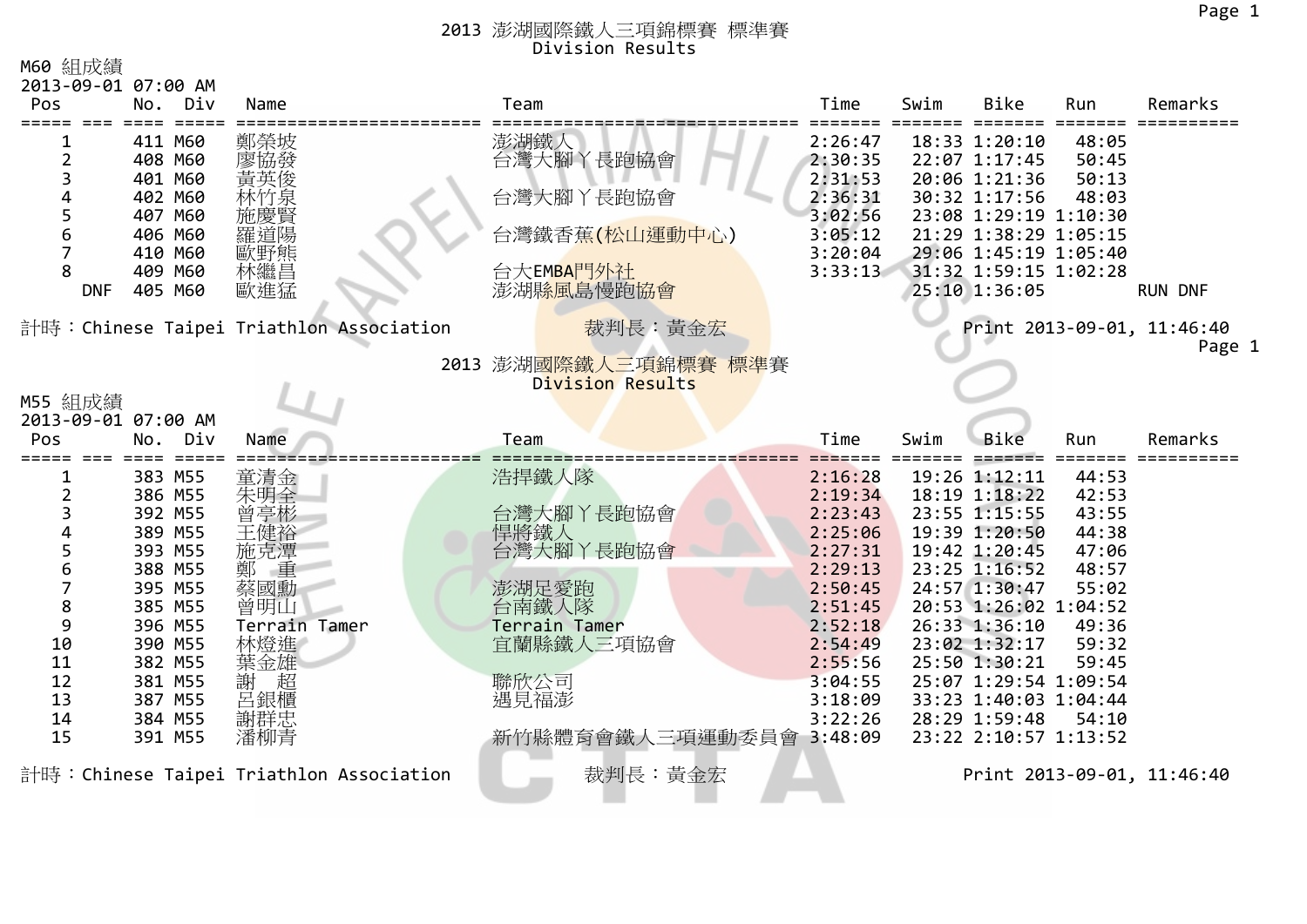| M60 組成績                    |                    |                                         |                         |                    |      |                                                |                |                            |
|----------------------------|--------------------|-----------------------------------------|-------------------------|--------------------|------|------------------------------------------------|----------------|----------------------------|
| 2013-09-01 07:00 AM<br>Pos | Div<br>No.         | Name                                    | Team                    | Time               | Swim | <b>Bike</b>                                    | Run            | Remarks                    |
|                            |                    |                                         |                         |                    |      |                                                |                |                            |
|                            | 411 M60            | 鄭榮坡                                     | 澎湖鐵人                    | 2:26:47            |      | 18:33 1:20:10                                  | 48:05          |                            |
| 2                          | 408 M60            | 廖協發                                     | 台灣大腳丫長跑協會               | 2:30:35            |      | 22:07 1:17:45                                  | 50:45          |                            |
| 3                          | 401 M60            | 黃英俊                                     |                         | 2:31:53            |      | 20:06 1:21:36                                  | 50:13          |                            |
|                            | 402 M60            |                                         | 台灣大腳丫長跑協會               | 2:36:31            |      | 30:32 1:17:56                                  | 48:03          |                            |
|                            | 407 M60            |                                         |                         | 3:02:56            |      | 23:08 1:29:19 1:10:30                          |                |                            |
| 6                          | 406 M60            | 羅道陽                                     | 台灣鐵香蕉(松山運動中心)           | 3:05:12            |      | 21:29 1:38:29 1:05:15                          |                |                            |
| 8                          | 410 M60<br>409 M60 | 歐野熊<br>林繼昌                              | 台大EMBAFF外社              | 3:20:04<br>3:33:13 |      | 29:06 1:45:19 1:05:40<br>31:32 1:59:15 1:02:28 |                |                            |
| <b>DNF</b>                 | 405 M60            | 歐進猛                                     | 澎湖縣風島慢跑協會               |                    |      | 25:10 1:36:05                                  |                | <b>RUN DNF</b>             |
|                            |                    |                                         |                         |                    |      |                                                |                |                            |
|                            |                    | 計時:Chinese Taipei Triathlon Association | 裁判長:黃金宏                 |                    |      |                                                |                | Print 2013-09-01, 11:46:40 |
|                            |                    |                                         |                         |                    |      |                                                |                | Page 1                     |
|                            |                    |                                         | 2013 澎湖國際鐵人三項錦標賽 標準賽    |                    |      |                                                |                |                            |
|                            |                    |                                         | Division Results        |                    |      |                                                |                |                            |
| M55 組成績                    |                    |                                         |                         |                    |      |                                                |                |                            |
| 2013-09-01 07:00 AM        |                    |                                         |                         |                    |      |                                                |                |                            |
|                            |                    |                                         |                         |                    |      |                                                |                |                            |
| Pos                        | Div<br>No.         | Name                                    | Team                    | Time               | Swim | <b>Bike</b>                                    | Run            | Remarks                    |
|                            | 383 M55            |                                         |                         |                    |      | 19:26 1:12:11                                  |                |                            |
| 2                          | 386 M55            | 童清金                                     | 浩捍鐵人隊                   | 2:16:28<br>2:19:34 |      | 18:19 1:18:22                                  | 44:53<br>42:53 |                            |
| 3                          | 392 M55            | 朱明全<br>曾亭彬                              | 台灣大腳丫長跑協會               | 2:23:43            |      | 23:55 1:15:55                                  | 43:55          |                            |
|                            | 389 M55            | 王健裕                                     | 悍將鐵人                    | 2:25:06            |      | 19:39 1:20:50                                  | 44:38          |                            |
| 5                          | 393 M55            | 施克潭                                     | 台灣大腳丫長跑協會               | 2:27:31            |      | 19:42 1:20:45                                  | 47:06          |                            |
| 6                          | 388 M55            | 重                                       |                         | 2:29:13            |      | 23:25 1:16:52                                  | 48:57          |                            |
| 7                          | 395 M55            | 蔡國勳                                     | 澎湖足愛跑                   | 2:50:45            |      | 24:57 1:30:47                                  | 55:02          |                            |
| 8                          | 385 M55            | 曾明山                                     | 台南鐵人隊                   | 2:51:45            |      | 20:53 1:26:02 1:04:52                          |                |                            |
| 9                          | 396 M55            | Terrain Tamer                           | Terrain Tamer           | 2:52:18            |      | 26:33 1:36:10                                  | 49:36          |                            |
| 10                         | 390 M55            | 林燈進                                     | 宜蘭縣鐵人三項協會               | 2:54:49            |      | 23:02 1:32:17                                  | 59:32          |                            |
| 11<br>12                   | 382 M55            | 葉金雄                                     |                         | 2:55:56            |      | 25:50 1:30:21<br>25:07 1:29:54 1:09:54         | 59:45          |                            |
| 13                         | 381 M55<br>387 M55 | 超<br>謝                                  | 聯欣公司<br>遇見福澎            | 3:04:55<br>3:18:09 |      | 33:23 1:40:03 1:04:44                          |                |                            |
| 14                         | 384 M55            | 呂銀櫃                                     |                         | 3:22:26            |      | 28:29 1:59:48                                  | 54:10          |                            |
| 15                         | 391 M55            | 謝群忠<br>潘柳青                              | 新竹縣體育會鐵人三項運動委員會 3:48:09 |                    |      | 23:22 2:10:57 1:13:52                          |                |                            |
|                            |                    | 計時:Chinese Taipei Triathlon Association | 裁判長:黃金宏                 |                    |      |                                                |                | Print 2013-09-01, 11:46:40 |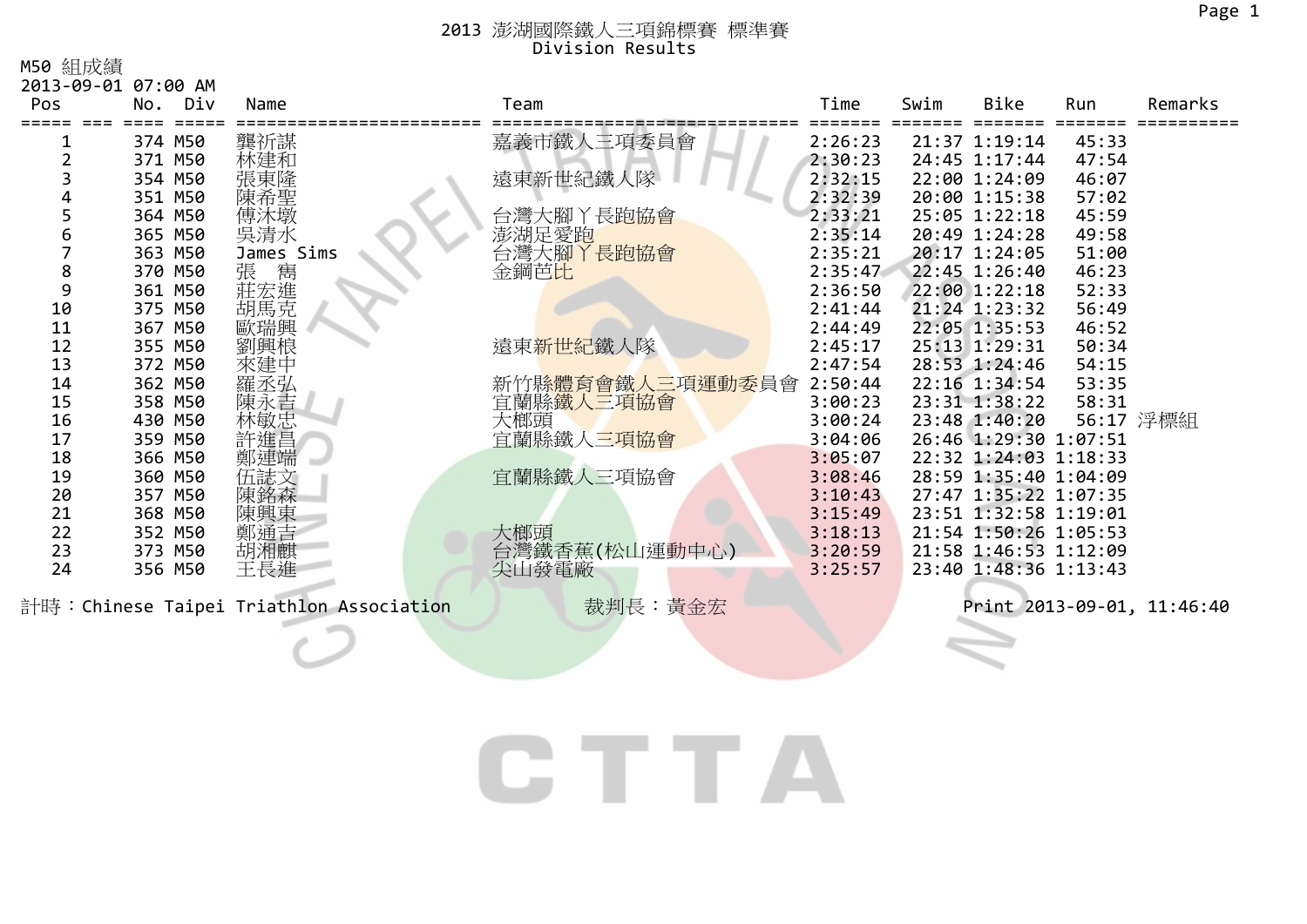M50 組成績

| 2013-09-01 07:00 AM |         |                                                                                                                         |                         |         |      |                       |       |                            |
|---------------------|---------|-------------------------------------------------------------------------------------------------------------------------|-------------------------|---------|------|-----------------------|-------|----------------------------|
| Pos                 | No. Div | Name                                                                                                                    | Team                    | Time    | Swim | Bike                  | Run   | Remarks                    |
|                     |         |                                                                                                                         |                         |         |      |                       |       |                            |
|                     | 374 M50 | 龔祈謀                                                                                                                     | 嘉義市鐵人三項委員會              | 2:26:23 |      | 21:37 1:19:14         | 45:33 |                            |
| $\overline{2}$      | 371 M50 | 林建和                                                                                                                     |                         | 2:30:23 |      | 24:45 1:17:44         | 47:54 |                            |
|                     | 354 M50 | 張東隆                                                                                                                     | 遠東新世紀鐵人隊                | 2:32:15 |      | 22:00 1:24:09         | 46:07 |                            |
|                     | 351 M50 | 陳希聖                                                                                                                     |                         | 2:32:39 |      | 20:00 1:15:38         | 57:02 |                            |
|                     | 364 M50 | 傅沐墩                                                                                                                     | 台灣大腳丫長跑協會               | 2:33:21 |      | 25:05 1:22:18         | 45:59 |                            |
| 6                   | 365 M50 | 吳清水                                                                                                                     | 澎湖足愛跑                   | 2:35:14 |      | 20:49 1:24:28         | 49:58 |                            |
|                     | 363 M50 | James Sims                                                                                                              | 台灣大腳丫長跑協會               | 2:35:21 |      | 20:17 1:24:05         | 51:00 |                            |
| 8                   | 370 M50 | ·張莊<br><br><br><br><br><br><br><br><br><br><br><br><br><br><br><br><br><br><br><br><br><br><br><br><br><br><br><br><br> | 金鋼芭比                    | 2:35:47 |      | 22:45 1:26:40         | 46:23 |                            |
| 9                   | 361 M50 |                                                                                                                         |                         | 2:36:50 |      | 22:00 1:22:18         | 52:33 |                            |
| 10                  | 375 M50 |                                                                                                                         |                         | 2:41:44 |      | 21:24 1:23:32         | 56:49 |                            |
| 11                  | 367 M50 | 歐瑞興                                                                                                                     |                         | 2:44:49 |      | 22:05 1:35:53         | 46:52 |                            |
| 12                  | 355 M50 | 劉興桹                                                                                                                     | 遠東 <mark>新世紀</mark> 鐵人隊 | 2:45:17 |      | 25:13 1:29:31         | 50:34 |                            |
| 13                  | 372 M50 | 來建中                                                                                                                     |                         | 2:47:54 |      | 28:53 1:24:46         | 54:15 |                            |
| 14                  | 362 M50 | 羅丞弘                                                                                                                     | 新竹縣體育會鐵人三項運動委員會         | 2:50:44 |      | 22:16 1:34:54         | 53:35 |                            |
| 15                  | 358 M50 | 陳永吉                                                                                                                     | 宜蘭縣鐵人三項協會               | 3:00:23 |      | 23:31 1:38:22         | 58:31 |                            |
| 16                  | 430 M50 | 林敏忠                                                                                                                     | 大榔頭                     | 3:00:24 |      | 23:48 1:40:20         |       | 56:17 浮標組                  |
| 17                  | 359 M50 | 許進昌                                                                                                                     | 宜蘭縣鐵人三項協會               | 3:04:06 |      | 26:46 1:29:30 1:07:51 |       |                            |
| 18                  | 366 M50 | 鄭連端                                                                                                                     |                         | 3:05:07 |      | 22:32 1:24:03 1:18:33 |       |                            |
| 19                  | 360 M50 | 伍誌文                                                                                                                     | 宜蘭縣鐵人三項協會               | 3:08:46 |      | 28:59 1:35:40 1:04:09 |       |                            |
| 20                  | 357 M50 | 陳銘森                                                                                                                     |                         | 3:10:43 |      | 27:47 1:35:22 1:07:35 |       |                            |
| 21                  | 368 M50 | 陳興東                                                                                                                     |                         | 3:15:49 |      | 23:51 1:32:58 1:19:01 |       |                            |
| 22                  | 352 M50 | 鄭通吉                                                                                                                     | 大榔頭                     | 3:18:13 |      | 21:54 1:50:26 1:05:53 |       |                            |
| 23                  | 373 M50 | 胡湘麒                                                                                                                     | 台灣鐵香蕉(松山運動中心)           | 3:20:59 |      | 21:58 1:46:53 1:12:09 |       |                            |
| 24                  | 356 M50 | 王長進                                                                                                                     | 尖山發電廠                   | 3:25:57 |      | 23:40 1:48:36 1:13:43 |       |                            |
|                     |         | 計時:Chinese Taipei Triathlon Association                                                                                 | 裁判長:黃金宏                 |         |      |                       |       | Print 2013-09-01, 11:46:40 |

# CTTA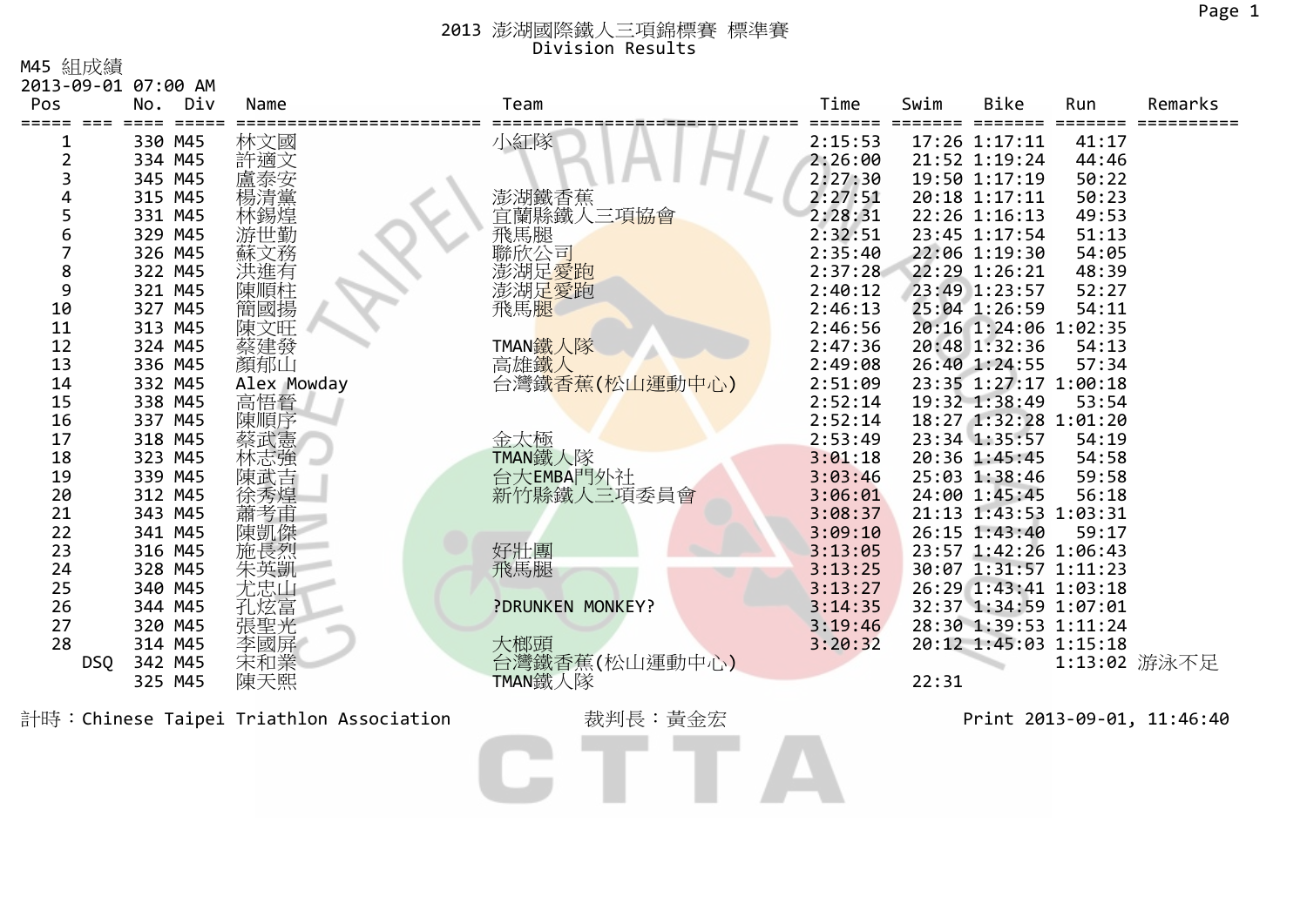M45 組成績

| Pos    | 2013-09-01 07:00 AM<br>Div<br>No. | Name        | Team                         | Time               | Swim  | <b>Bike</b>                    | Run            | Remarks      |
|--------|-----------------------------------|-------------|------------------------------|--------------------|-------|--------------------------------|----------------|--------------|
|        |                                   |             |                              |                    |       |                                |                |              |
|        | 330 M45                           | 林文國         | 小紅隊                          | 2:15:53            |       | 17:26 1:17:11                  | 41:17          |              |
|        | 334 M45                           | 許適文         |                              | 2:26:00            |       | 21:52 1:19:24                  | 44:46          |              |
|        | 345 M45                           | 盧泰安         |                              | 2:27:30            |       | 19:50 1:17:19                  | 50:22          |              |
| 4<br>5 | 315 M45                           | 愓清黨         | 澎湖鐵香蕉                        | 2:27:51            |       | 20:18 1:17:11                  | 50:23          |              |
|        | 331 M45<br>329 M45                | 林錫煌<br>游世勤  | 宜蘭縣鐵人三項協會                    | 2:28:31<br>2:32:51 |       | 22:26 1:16:13<br>23:45 1:17:54 | 49:53<br>51:13 |              |
| 6      |                                   |             | <b>飛馬腿</b><br>聯欣公司           |                    |       | 22:06 1:19:30                  |                |              |
| 8      | 326 M45<br>322 M45                | 蘇文務         |                              | 2:35:40<br>2:37:28 |       | 22:29 1:26:21                  | 54:05<br>48:39 |              |
| 9      | 321 M45                           | 洪進有         | 澎湖足 <mark>愛跑</mark><br>澎湖足愛跑 | 2:40:12            |       | 23:49 1:23:57                  | 52:27          |              |
| 10     | 327 M45                           | 陳順柱<br>簡國揚  | 飛馬腿                          | 2:46:13            |       | 25:04 1:26:59                  | 54:11          |              |
| 11     | 313 M45                           | 陳文旺         |                              | 2:46:56            |       | 20:16 1:24:06 1:02:35          |                |              |
| 12     | 324 M45                           | 蔡建發         | TMAN鐵人隊                      | 2:47:36            |       | 20:48 1:32:36                  | 54:13          |              |
| 13     | 336 M45                           | 顏郁山         | 高雄鐵人                         | 2:49:08            |       | 26:40 1:24:55                  | 57:34          |              |
| 14     | 332 M45                           | Alex Mowday | 台灣鐵香蕉(松山運動中心)                | 2:51:09            |       | 23:35 1:27:17 1:00:18          |                |              |
| 15     | 338 M45                           | 高悟晉         |                              | 2:52:14            |       | 19:32 1:38:49                  | 53:54          |              |
| 16     | 337 M45                           | 陳順序         |                              | 2:52:14            |       | 18:27 1:32:28 1:01:20          |                |              |
| 17     | 318 M45                           | 蔡武憲         | 金太極                          | 2:53:49            |       | 23:34 1:35:57                  | 54:19          |              |
| 18     | 323 M45                           | 林志強         | TMAN鐵人隊                      | 3:01:18            |       | 20:36 1:45:45                  | 54:58          |              |
| 19     | 339 M45                           | 陳武吉         | 台大EMBA門外社                    | 3:03:46            |       | 25:03 1:38:46                  | 59:58          |              |
| 20     | 312 M45                           | 徐秀煌         | 新竹縣鐵人三項委員會                   | 3:06:01            |       | 24:00 1:45:45                  | 56:18          |              |
| 21     | 343 M45                           | 蕭考甫         |                              | 3:08:37            |       | 21:13 1:43:53 1:03:31          |                |              |
| 22     | 341 M45                           | 陳凱傑         |                              | 3:09:10            |       | 26:15 1:43:40                  | 59:17          |              |
| 23     | 316 M45                           | 施長烈         | 好壯團                          | 3:13:05            |       | 23:57 1:42:26 1:06:43          |                |              |
| 24     | 328 M45                           | 朱英凱         | 飛馬腿                          | 3:13:25            |       | 30:07 1:31:57 1:11:23          |                |              |
| 25     | 340 M45                           | 尤忠山         |                              | 3:13:27            |       | 26:29 1:43:41 1:03:18          |                |              |
| 26     | 344 M45                           | 孔炫富         | ?DRUNKEN MONKEY?             | 3:14:35            |       | 32:37 1:34:59 1:07:01          |                |              |
| 27     | 320 M45                           | 張聖光         |                              | 3:19:46            |       | 28:30 1:39:53 1:11:24          |                |              |
| 28     | 314 M45                           | 李國屏         | 大榔頭                          | 3:20:32            |       | 20:12 1:45:03 1:15:18          |                |              |
|        | 342 M45<br><b>DSQ</b>             | 宋和業         | 台灣鐵香蕉(松山運動中心)                |                    |       |                                |                | 1:13:02 游泳不足 |
|        | 325 M45                           | 陳天熙         | TMAN鐵人隊                      |                    | 22:31 |                                |                |              |

計時:Chinese Taipei Triathlon Association 裁判長:黃金宏 Print <sup>2013</sup>‐09‐01, 11:46:40 $\blacktriangle$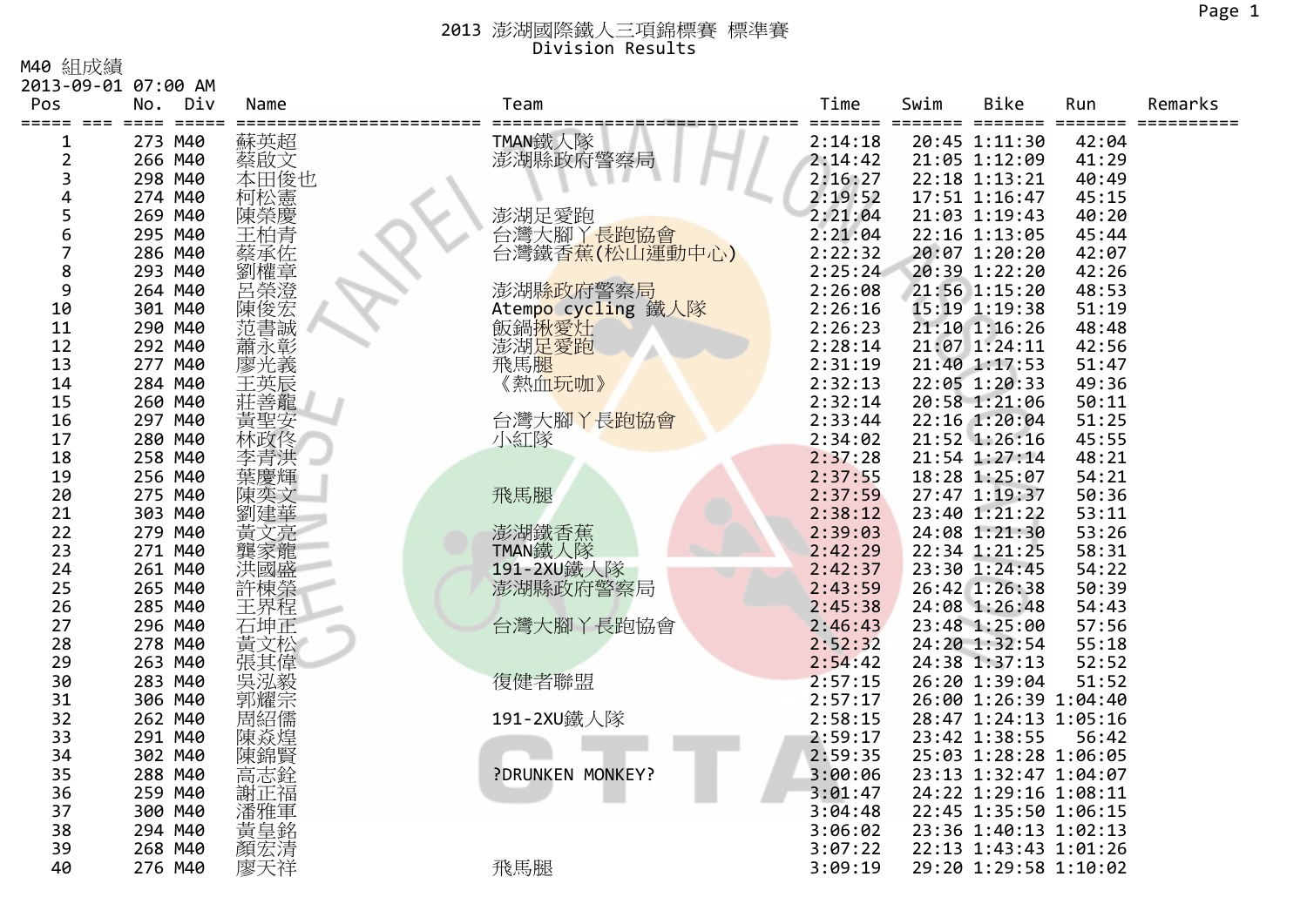M40 組成績

|                | 2013-09-01 07:00 AM         |            |                        |         |      |                       |       |         |
|----------------|-----------------------------|------------|------------------------|---------|------|-----------------------|-------|---------|
| Pos            | Div<br>No.                  | Name       | Team                   | Time    | Swim | Bike                  | Run   | Remarks |
| =====          | === ====<br>$=$ $=$ $=$ $=$ |            |                        |         |      | ====                  |       |         |
| 1              | 273 M40                     | 蘇英超        | TMAN鐵人隊<br>澎湖縣政府警察局    | 2:14:18 |      | 20:45 1:11:30         | 42:04 |         |
| $\overline{2}$ | 266 M40                     | 蔡啟文        |                        | 2:14:42 |      | 21:05 1:12:09         | 41:29 |         |
| 3              | 298 M40                     | 本田俊也       |                        | 2:16:27 |      | 22:18 1:13:21         | 40:49 |         |
| 4              | 274 M40                     | 柯松憲        |                        | 2:19:52 |      | 17:51 1:16:47         | 45:15 |         |
| 5              | 269 M40                     | 陳榮慶        | 澎湖足愛跑                  | 2:21:04 |      | 21:03 1:19:43         | 40:20 |         |
| 6              | 295 M40                     | 王柏青        | 台灣大腳丫長跑協會              | 2:21:04 |      | 22:16 1:13:05         | 45:44 |         |
| $\overline{7}$ | 286 M40                     | 蔡承佐        | 台灣鐵香蕉(松山運動中心)          | 2:22:32 |      | 20:07 1:20:20         | 42:07 |         |
| 8              | 293 M40                     | 劉權章        |                        | 2:25:24 |      | 20:39 1:22:20         | 42:26 |         |
| 9              | 264 M40                     | 呂榮澄<br>陳俊宏 | 澎湖 <mark>縣政府警察局</mark> | 2:26:08 |      | 21:56 1:15:20         | 48:53 |         |
| 10             | 301 M40                     |            | Atempo cycling 鐵人隊     | 2:26:16 |      | 15:19 1:19:38         | 51:19 |         |
| 11             | 290 M40                     | 范書誠        | 飯鍋揪愛灶                  | 2:26:23 |      | 21:10 1:16:26         | 48:48 |         |
| 12             | 292 M40                     | 蕭永彰        | 澎湖足愛跑                  | 2:28:14 |      | 21:07 1:24:11         | 42:56 |         |
| 13             | 277 M40                     | 廖光義        | 飛馬腿                    | 2:31:19 |      | 21:40 1:17:53         | 51:47 |         |
| 14             | 284 M40                     | 王英辰        | 《熱血玩咖》                 | 2:32:13 |      | 22:05 1:20:33         | 49:36 |         |
| 15             | 260 M40                     | 莊善龍        |                        | 2:32:14 |      | 20:58 1:21:06         | 50:11 |         |
| 16             | 297 M40                     | 黃聖安        | 台灣大腳丫長跑協會              | 2:33:44 |      | 22:16 1:20:04         | 51:25 |         |
| 17             | 280 M40                     | 林政佟        | 小紅隊                    | 2:34:02 |      | 21:52 1:26:16         | 45:55 |         |
| 18             | 258 M40                     |            |                        | 2:37:28 |      | 21:54 1:27:14         | 48:21 |         |
| 19             | 256 M40                     |            |                        | 2:37:55 |      | 18:28 1:25:07         | 54:21 |         |
| 20             | 275 M40                     | 陳奕文        | 飛馬腿                    | 2:37:59 |      | 27:47 1:19:37         | 50:36 |         |
| 21             | 303 M40                     | 劉建華        |                        | 2:38:12 |      | 23:40 1:21:22         | 53:11 |         |
| 22             | 279 M40                     | 黃文亮        | 澎湖鐵香蕉                  | 2:39:03 |      | 24:08 1:21:30         | 53:26 |         |
| 23             | 271 M40                     | 家龍         | TMAN鐵人隊                | 2:42:29 |      | 22:34 1:21:25         | 58:31 |         |
| 24             | 261 M40                     | 洪國盛        | 191-2XU鐵人隊             | 2:42:37 |      | 23:30 1:24:45         | 54:22 |         |
| 25             | 265 M40                     | 許棟榮<br>王界程 | 澎湖縣政府警察局               | 2:43:59 |      | 26:42 1:26:38         | 50:39 |         |
| 26             | 285 M40                     |            |                        | 2:45:38 |      | 24:08 1:26:48         | 54:43 |         |
| 27             | 296 M40                     | 石坤正        | 台灣大腳丫長跑協會              | 2:46:43 |      | 23:48 1:25:00         | 57:56 |         |
| 28             | 278 M40                     | 黃文松        |                        | 2:52:32 |      | 24:20 1:32:54         | 55:18 |         |
| 29             | 263 M40                     | 張其偉        |                        | 2:54:42 |      | 24:38 1:37:13         | 52:52 |         |
| 30             | 283 M40                     | 吳泓毅        | 復健者聯盟                  | 2:57:15 |      | 26:20 1:39:04         | 51:52 |         |
| 31             | 306 M40                     |            |                        | 2:57:17 |      | 26:00 1:26:39 1:04:40 |       |         |
| 32             | 262 M40                     | 周紹儒        | 191-2XU鐵人隊             | 2:58:15 |      | 28:47 1:24:13 1:05:16 |       |         |
| 33             | 291 M40                     | 陳焱煌        |                        | 2:59:17 |      | 23:42 1:38:55         | 56:42 |         |
| 34             | 302 M40                     | 陳錦賢        |                        | 2:59:35 |      | 25:03 1:28:28 1:06:05 |       |         |
| 35             | 288 M40                     | 高志銓        | ?DRUNKEN MONKEY?       | 3:00:06 |      | 23:13 1:32:47 1:04:07 |       |         |
| 36             | 259 M40                     | 謝正福        |                        | 3:01:47 |      | 24:22 1:29:16 1:08:11 |       |         |
| 37             | 300 M40                     | 潘雅軍        |                        | 3:04:48 |      | 22:45 1:35:50 1:06:15 |       |         |
| 38             | 294 M40                     | 黃皇銘        |                        | 3:06:02 |      | 23:36 1:40:13 1:02:13 |       |         |
| 39             | 268 M40                     | 顏宏清        |                        | 3:07:22 |      | 22:13 1:43:43 1:01:26 |       |         |
| 40             | 276 M40                     | 廖天祥        | 飛馬腿                    | 3:09:19 |      | 29:20 1:29:58 1:10:02 |       |         |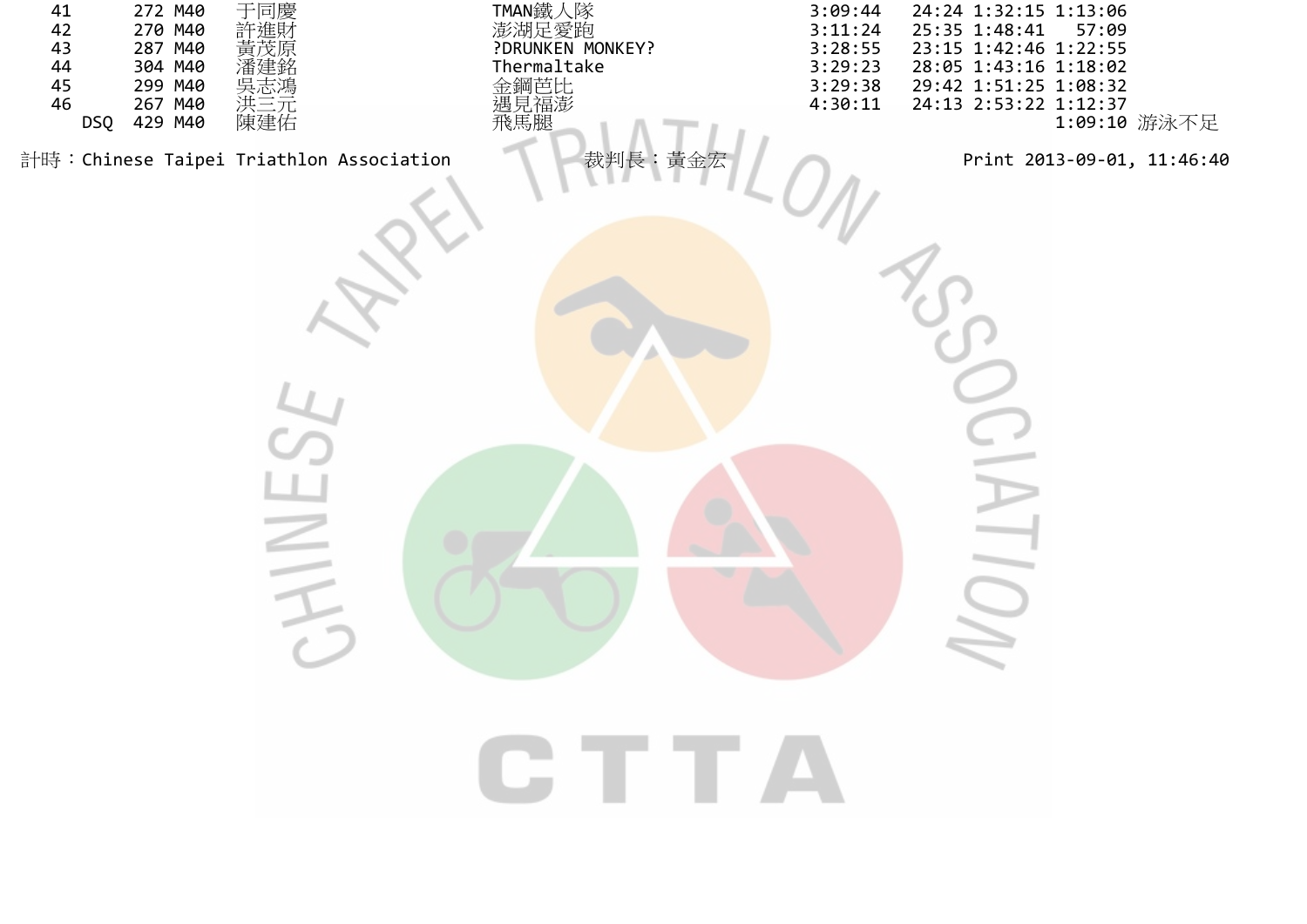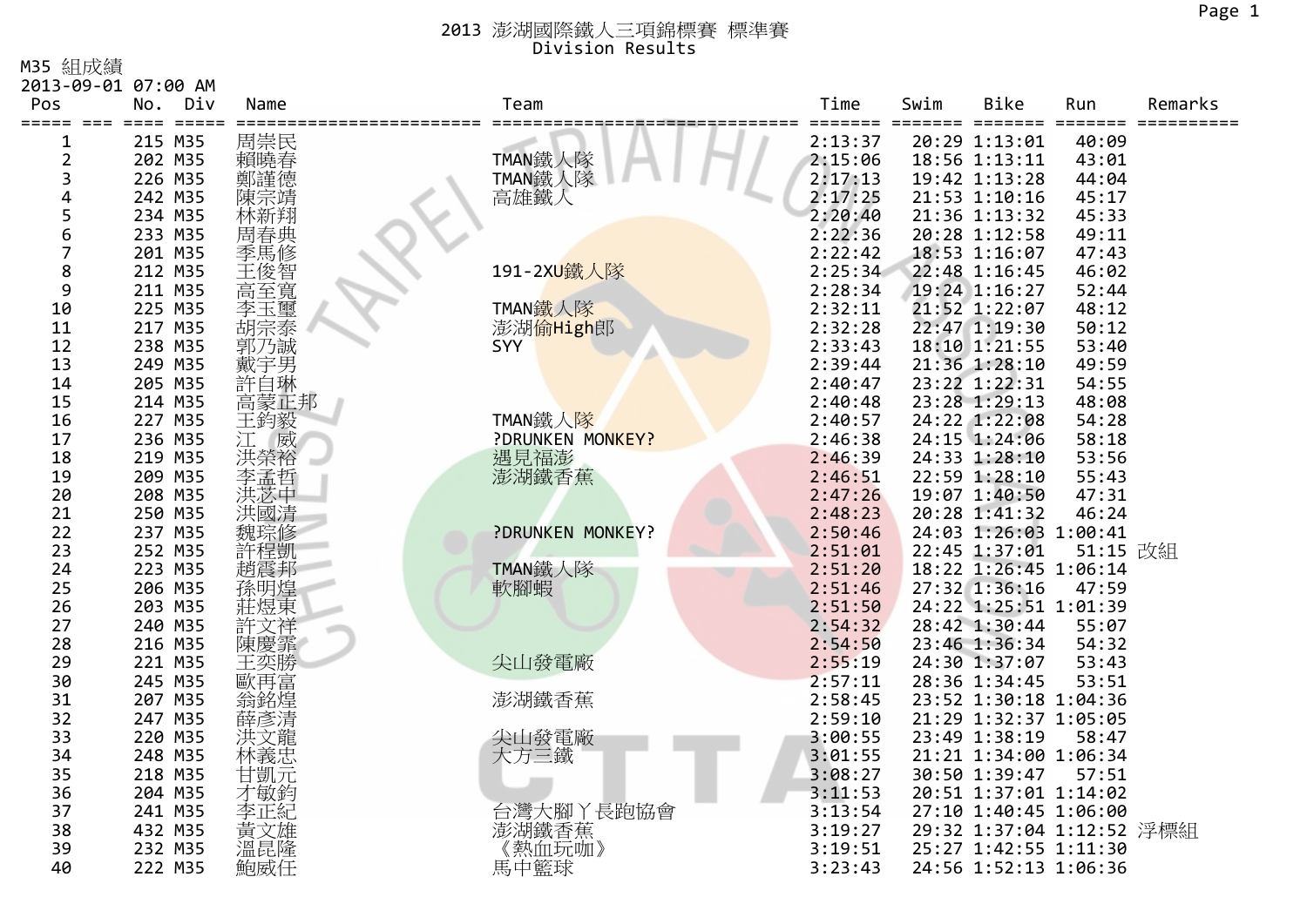M35 組成績

| Time<br>Bike<br>Pos<br>Div<br>Name<br>Team<br>Swim<br>Remarks<br>No.<br>Run<br>$=$ $=$ $=$ $=$<br>=====<br>$==$<br>=====<br>=====<br>=====<br>$=$ $=$<br>======<br>215 M35<br>周崇民<br>20:29 1:13:01<br>40:09<br>2:13:37<br>1<br>賴曉春<br>TMAN鐵人隊<br>TMAN鐵人隊<br>$\overline{2}$<br>202 M35<br>2:15:06<br>18:56 1:13:11<br>43:01<br>3<br>226 M35<br>2:17:13<br>19:42 1:13:28<br>44:04<br>4<br>242 M35<br>高雄鐵人<br>2:17:25<br>21:53 1:10:16<br>45:17<br>陳宗靖<br>5<br>234 M35<br>2:20:40<br>林新翔<br>21:36 1:13:32<br>45:33<br>6<br>233 M35<br>周春典<br>2:22:36<br>20:28 1:12:58<br>49:11<br>季馬修<br>7<br>201 M35<br>2:22:42<br>18:53 1:16:07<br>47:43<br>8<br>主俊智寬<br>191-2XU鐵人隊<br>212 M35<br>2:25:34<br>22:48 1:16:45<br>46:02<br>9<br>211 M35<br>19:24 1:16:27<br>2:28:34<br>52:44<br>TMAN鐵人隊<br>『李胡郭戴許言玉宗子子<br>10<br>225 M35<br>2:32:11<br>21:52 1:22:07<br>48:12<br>11<br>217 M35<br>2:32:28<br>22:47 1:19:30<br>澎湖偷High郎<br>50:12<br>238 M35<br>2:33:43<br>18:10 1:21:55<br>53:40<br>12<br><b>SYY</b><br>21:36 1:28:10<br>13<br>249 M35<br>2:39:44<br>49:59<br>23:22 1:22:31<br>14<br>205 M35<br>2:40:47<br>54:55<br>高蒙正邦<br>15<br>214 M35<br>2:40:48<br>23:28 1:29:13<br>48:08<br>TMAN鐵人隊<br>16<br>227 M35<br>王鈞毅<br>2:40:57<br>24:22 1:22:08<br>54:28<br>威<br>?DRUNKEN MONKEY?<br>24:15 1:24:06<br>17<br>236 M35<br>江<br>2:46:38<br>58:18<br>洪榮裕<br>遇見福澎<br>18<br>219 M35<br>2:46:39<br>24:33 1:28:10<br>53:56<br>19<br>209 M35<br>李孟哲<br>澎湖鐵香蕉<br>22:59 1:28:10<br>55:43<br>2:46:51<br>洪苏中<br>20<br>208 M35<br>2:47:26<br>19:07 1:40:50<br>47:31<br>洪國清<br>21<br>250 M35<br>2:48:23<br>20:28 1:41:32<br>46:24<br>?DRUNKEN MONKEY?<br>22<br>237 M35<br>24:03 1:26:03 1:00:41<br>魏琮修<br>2:50:46<br>23<br>許程凱<br>51:15 改組<br>252 M35<br>2:51:01<br>22:45 1:37:01<br>TMAN鐵人隊<br>18:22 1:26:45 1:06:14<br>223 M35<br>趙震邦<br>2:51:20<br>24<br> 孫明煌<br>莊煜東<br>軟腳蝦<br>25<br>27:32 1:36:16<br>206 M35<br>2:51:46<br>47:59<br>26<br>203 M35<br>2:51:50<br>24:22 1:25:51 1:01:39<br>27<br>240 M35<br>2:54:32<br>28:42 1:30:44<br>許文祥<br>55:07<br>216 M35<br>28<br>陳慶霏<br>2:54:50<br>23:46 1:36:34<br>54:32<br>尖山發電廠<br>29<br>221 M35<br>2:55:19<br>24:30 1:37:07<br>53:43<br>王奕勝<br>30<br>245 M35<br>2:57:11<br>28:36 1:34:45<br>53:51<br>歐再富<br>澎湖鐵香蕉<br>31<br>翁銘煌<br>2:58:45<br>207 M35<br>23:52 1:30:18 1:04:36<br>32<br>247 M35<br>2:59:10<br>21:29 1:32:37 1:05:05<br>薛彥清<br>33<br>尖山發電廠<br>220 M35<br>3:00:55<br>23:49 1:38:19<br>洪文龍<br>58:47<br>34<br>林義忠<br>248 M35<br>大方三鐵<br>3:01:55<br>21:21 1:34:00 1:06:34<br>35<br>218 M35<br>3:08:27<br>30:50 1:39:47<br>憪元<br>57:51<br>204 M35<br>才敏鈞<br>36<br>3:11:53<br>20:51 1:37:01 1:14:02<br>台灣大腳丫長跑協會<br>37<br>241 M35<br>3:13:54<br>27:10 1:40:45 1:06:00<br>李正紀<br>澎湖鐵香蕉<br>38<br>黃文雄<br>432 M35<br>3:19:27<br>29:32 1:37:04 1:12:52 浮標組<br>溫昆隆<br>熱血玩咖》<br>39<br>3:19:51<br>25:27 1:42:55 1:11:30<br>232 M35<br>馬中籃球<br>40<br>222 M35<br>3:23:43<br>24:56 1:52:13 1:06:36 | 2013-09-01 07:00 AM |     |  |  |  |
|----------------------------------------------------------------------------------------------------------------------------------------------------------------------------------------------------------------------------------------------------------------------------------------------------------------------------------------------------------------------------------------------------------------------------------------------------------------------------------------------------------------------------------------------------------------------------------------------------------------------------------------------------------------------------------------------------------------------------------------------------------------------------------------------------------------------------------------------------------------------------------------------------------------------------------------------------------------------------------------------------------------------------------------------------------------------------------------------------------------------------------------------------------------------------------------------------------------------------------------------------------------------------------------------------------------------------------------------------------------------------------------------------------------------------------------------------------------------------------------------------------------------------------------------------------------------------------------------------------------------------------------------------------------------------------------------------------------------------------------------------------------------------------------------------------------------------------------------------------------------------------------------------------------------------------------------------------------------------------------------------------------------------------------------------------------------------------------------------------------------------------------------------------------------------------------------------------------------------------------------------------------------------------------------------------------------------------------------------------------------------------------------------------------------------------------------------------------------------------------------------------------------------------------------------------------------------------------------------------------------------------------------------------------------------------------------------------------------------------------------------------------------------------------------------------------------------------------------------------------------------------------------------------------------|---------------------|-----|--|--|--|
|                                                                                                                                                                                                                                                                                                                                                                                                                                                                                                                                                                                                                                                                                                                                                                                                                                                                                                                                                                                                                                                                                                                                                                                                                                                                                                                                                                                                                                                                                                                                                                                                                                                                                                                                                                                                                                                                                                                                                                                                                                                                                                                                                                                                                                                                                                                                                                                                                                                                                                                                                                                                                                                                                                                                                                                                                                                                                                                      |                     |     |  |  |  |
|                                                                                                                                                                                                                                                                                                                                                                                                                                                                                                                                                                                                                                                                                                                                                                                                                                                                                                                                                                                                                                                                                                                                                                                                                                                                                                                                                                                                                                                                                                                                                                                                                                                                                                                                                                                                                                                                                                                                                                                                                                                                                                                                                                                                                                                                                                                                                                                                                                                                                                                                                                                                                                                                                                                                                                                                                                                                                                                      |                     |     |  |  |  |
|                                                                                                                                                                                                                                                                                                                                                                                                                                                                                                                                                                                                                                                                                                                                                                                                                                                                                                                                                                                                                                                                                                                                                                                                                                                                                                                                                                                                                                                                                                                                                                                                                                                                                                                                                                                                                                                                                                                                                                                                                                                                                                                                                                                                                                                                                                                                                                                                                                                                                                                                                                                                                                                                                                                                                                                                                                                                                                                      |                     |     |  |  |  |
|                                                                                                                                                                                                                                                                                                                                                                                                                                                                                                                                                                                                                                                                                                                                                                                                                                                                                                                                                                                                                                                                                                                                                                                                                                                                                                                                                                                                                                                                                                                                                                                                                                                                                                                                                                                                                                                                                                                                                                                                                                                                                                                                                                                                                                                                                                                                                                                                                                                                                                                                                                                                                                                                                                                                                                                                                                                                                                                      |                     |     |  |  |  |
|                                                                                                                                                                                                                                                                                                                                                                                                                                                                                                                                                                                                                                                                                                                                                                                                                                                                                                                                                                                                                                                                                                                                                                                                                                                                                                                                                                                                                                                                                                                                                                                                                                                                                                                                                                                                                                                                                                                                                                                                                                                                                                                                                                                                                                                                                                                                                                                                                                                                                                                                                                                                                                                                                                                                                                                                                                                                                                                      |                     |     |  |  |  |
|                                                                                                                                                                                                                                                                                                                                                                                                                                                                                                                                                                                                                                                                                                                                                                                                                                                                                                                                                                                                                                                                                                                                                                                                                                                                                                                                                                                                                                                                                                                                                                                                                                                                                                                                                                                                                                                                                                                                                                                                                                                                                                                                                                                                                                                                                                                                                                                                                                                                                                                                                                                                                                                                                                                                                                                                                                                                                                                      |                     |     |  |  |  |
|                                                                                                                                                                                                                                                                                                                                                                                                                                                                                                                                                                                                                                                                                                                                                                                                                                                                                                                                                                                                                                                                                                                                                                                                                                                                                                                                                                                                                                                                                                                                                                                                                                                                                                                                                                                                                                                                                                                                                                                                                                                                                                                                                                                                                                                                                                                                                                                                                                                                                                                                                                                                                                                                                                                                                                                                                                                                                                                      |                     |     |  |  |  |
|                                                                                                                                                                                                                                                                                                                                                                                                                                                                                                                                                                                                                                                                                                                                                                                                                                                                                                                                                                                                                                                                                                                                                                                                                                                                                                                                                                                                                                                                                                                                                                                                                                                                                                                                                                                                                                                                                                                                                                                                                                                                                                                                                                                                                                                                                                                                                                                                                                                                                                                                                                                                                                                                                                                                                                                                                                                                                                                      |                     |     |  |  |  |
|                                                                                                                                                                                                                                                                                                                                                                                                                                                                                                                                                                                                                                                                                                                                                                                                                                                                                                                                                                                                                                                                                                                                                                                                                                                                                                                                                                                                                                                                                                                                                                                                                                                                                                                                                                                                                                                                                                                                                                                                                                                                                                                                                                                                                                                                                                                                                                                                                                                                                                                                                                                                                                                                                                                                                                                                                                                                                                                      |                     |     |  |  |  |
|                                                                                                                                                                                                                                                                                                                                                                                                                                                                                                                                                                                                                                                                                                                                                                                                                                                                                                                                                                                                                                                                                                                                                                                                                                                                                                                                                                                                                                                                                                                                                                                                                                                                                                                                                                                                                                                                                                                                                                                                                                                                                                                                                                                                                                                                                                                                                                                                                                                                                                                                                                                                                                                                                                                                                                                                                                                                                                                      |                     |     |  |  |  |
|                                                                                                                                                                                                                                                                                                                                                                                                                                                                                                                                                                                                                                                                                                                                                                                                                                                                                                                                                                                                                                                                                                                                                                                                                                                                                                                                                                                                                                                                                                                                                                                                                                                                                                                                                                                                                                                                                                                                                                                                                                                                                                                                                                                                                                                                                                                                                                                                                                                                                                                                                                                                                                                                                                                                                                                                                                                                                                                      |                     |     |  |  |  |
|                                                                                                                                                                                                                                                                                                                                                                                                                                                                                                                                                                                                                                                                                                                                                                                                                                                                                                                                                                                                                                                                                                                                                                                                                                                                                                                                                                                                                                                                                                                                                                                                                                                                                                                                                                                                                                                                                                                                                                                                                                                                                                                                                                                                                                                                                                                                                                                                                                                                                                                                                                                                                                                                                                                                                                                                                                                                                                                      |                     |     |  |  |  |
|                                                                                                                                                                                                                                                                                                                                                                                                                                                                                                                                                                                                                                                                                                                                                                                                                                                                                                                                                                                                                                                                                                                                                                                                                                                                                                                                                                                                                                                                                                                                                                                                                                                                                                                                                                                                                                                                                                                                                                                                                                                                                                                                                                                                                                                                                                                                                                                                                                                                                                                                                                                                                                                                                                                                                                                                                                                                                                                      |                     |     |  |  |  |
|                                                                                                                                                                                                                                                                                                                                                                                                                                                                                                                                                                                                                                                                                                                                                                                                                                                                                                                                                                                                                                                                                                                                                                                                                                                                                                                                                                                                                                                                                                                                                                                                                                                                                                                                                                                                                                                                                                                                                                                                                                                                                                                                                                                                                                                                                                                                                                                                                                                                                                                                                                                                                                                                                                                                                                                                                                                                                                                      |                     |     |  |  |  |
|                                                                                                                                                                                                                                                                                                                                                                                                                                                                                                                                                                                                                                                                                                                                                                                                                                                                                                                                                                                                                                                                                                                                                                                                                                                                                                                                                                                                                                                                                                                                                                                                                                                                                                                                                                                                                                                                                                                                                                                                                                                                                                                                                                                                                                                                                                                                                                                                                                                                                                                                                                                                                                                                                                                                                                                                                                                                                                                      |                     |     |  |  |  |
|                                                                                                                                                                                                                                                                                                                                                                                                                                                                                                                                                                                                                                                                                                                                                                                                                                                                                                                                                                                                                                                                                                                                                                                                                                                                                                                                                                                                                                                                                                                                                                                                                                                                                                                                                                                                                                                                                                                                                                                                                                                                                                                                                                                                                                                                                                                                                                                                                                                                                                                                                                                                                                                                                                                                                                                                                                                                                                                      |                     |     |  |  |  |
|                                                                                                                                                                                                                                                                                                                                                                                                                                                                                                                                                                                                                                                                                                                                                                                                                                                                                                                                                                                                                                                                                                                                                                                                                                                                                                                                                                                                                                                                                                                                                                                                                                                                                                                                                                                                                                                                                                                                                                                                                                                                                                                                                                                                                                                                                                                                                                                                                                                                                                                                                                                                                                                                                                                                                                                                                                                                                                                      |                     |     |  |  |  |
|                                                                                                                                                                                                                                                                                                                                                                                                                                                                                                                                                                                                                                                                                                                                                                                                                                                                                                                                                                                                                                                                                                                                                                                                                                                                                                                                                                                                                                                                                                                                                                                                                                                                                                                                                                                                                                                                                                                                                                                                                                                                                                                                                                                                                                                                                                                                                                                                                                                                                                                                                                                                                                                                                                                                                                                                                                                                                                                      |                     |     |  |  |  |
|                                                                                                                                                                                                                                                                                                                                                                                                                                                                                                                                                                                                                                                                                                                                                                                                                                                                                                                                                                                                                                                                                                                                                                                                                                                                                                                                                                                                                                                                                                                                                                                                                                                                                                                                                                                                                                                                                                                                                                                                                                                                                                                                                                                                                                                                                                                                                                                                                                                                                                                                                                                                                                                                                                                                                                                                                                                                                                                      |                     |     |  |  |  |
|                                                                                                                                                                                                                                                                                                                                                                                                                                                                                                                                                                                                                                                                                                                                                                                                                                                                                                                                                                                                                                                                                                                                                                                                                                                                                                                                                                                                                                                                                                                                                                                                                                                                                                                                                                                                                                                                                                                                                                                                                                                                                                                                                                                                                                                                                                                                                                                                                                                                                                                                                                                                                                                                                                                                                                                                                                                                                                                      |                     |     |  |  |  |
|                                                                                                                                                                                                                                                                                                                                                                                                                                                                                                                                                                                                                                                                                                                                                                                                                                                                                                                                                                                                                                                                                                                                                                                                                                                                                                                                                                                                                                                                                                                                                                                                                                                                                                                                                                                                                                                                                                                                                                                                                                                                                                                                                                                                                                                                                                                                                                                                                                                                                                                                                                                                                                                                                                                                                                                                                                                                                                                      |                     |     |  |  |  |
|                                                                                                                                                                                                                                                                                                                                                                                                                                                                                                                                                                                                                                                                                                                                                                                                                                                                                                                                                                                                                                                                                                                                                                                                                                                                                                                                                                                                                                                                                                                                                                                                                                                                                                                                                                                                                                                                                                                                                                                                                                                                                                                                                                                                                                                                                                                                                                                                                                                                                                                                                                                                                                                                                                                                                                                                                                                                                                                      |                     |     |  |  |  |
|                                                                                                                                                                                                                                                                                                                                                                                                                                                                                                                                                                                                                                                                                                                                                                                                                                                                                                                                                                                                                                                                                                                                                                                                                                                                                                                                                                                                                                                                                                                                                                                                                                                                                                                                                                                                                                                                                                                                                                                                                                                                                                                                                                                                                                                                                                                                                                                                                                                                                                                                                                                                                                                                                                                                                                                                                                                                                                                      |                     |     |  |  |  |
|                                                                                                                                                                                                                                                                                                                                                                                                                                                                                                                                                                                                                                                                                                                                                                                                                                                                                                                                                                                                                                                                                                                                                                                                                                                                                                                                                                                                                                                                                                                                                                                                                                                                                                                                                                                                                                                                                                                                                                                                                                                                                                                                                                                                                                                                                                                                                                                                                                                                                                                                                                                                                                                                                                                                                                                                                                                                                                                      |                     |     |  |  |  |
|                                                                                                                                                                                                                                                                                                                                                                                                                                                                                                                                                                                                                                                                                                                                                                                                                                                                                                                                                                                                                                                                                                                                                                                                                                                                                                                                                                                                                                                                                                                                                                                                                                                                                                                                                                                                                                                                                                                                                                                                                                                                                                                                                                                                                                                                                                                                                                                                                                                                                                                                                                                                                                                                                                                                                                                                                                                                                                                      |                     |     |  |  |  |
|                                                                                                                                                                                                                                                                                                                                                                                                                                                                                                                                                                                                                                                                                                                                                                                                                                                                                                                                                                                                                                                                                                                                                                                                                                                                                                                                                                                                                                                                                                                                                                                                                                                                                                                                                                                                                                                                                                                                                                                                                                                                                                                                                                                                                                                                                                                                                                                                                                                                                                                                                                                                                                                                                                                                                                                                                                                                                                                      |                     |     |  |  |  |
|                                                                                                                                                                                                                                                                                                                                                                                                                                                                                                                                                                                                                                                                                                                                                                                                                                                                                                                                                                                                                                                                                                                                                                                                                                                                                                                                                                                                                                                                                                                                                                                                                                                                                                                                                                                                                                                                                                                                                                                                                                                                                                                                                                                                                                                                                                                                                                                                                                                                                                                                                                                                                                                                                                                                                                                                                                                                                                                      |                     |     |  |  |  |
|                                                                                                                                                                                                                                                                                                                                                                                                                                                                                                                                                                                                                                                                                                                                                                                                                                                                                                                                                                                                                                                                                                                                                                                                                                                                                                                                                                                                                                                                                                                                                                                                                                                                                                                                                                                                                                                                                                                                                                                                                                                                                                                                                                                                                                                                                                                                                                                                                                                                                                                                                                                                                                                                                                                                                                                                                                                                                                                      |                     |     |  |  |  |
|                                                                                                                                                                                                                                                                                                                                                                                                                                                                                                                                                                                                                                                                                                                                                                                                                                                                                                                                                                                                                                                                                                                                                                                                                                                                                                                                                                                                                                                                                                                                                                                                                                                                                                                                                                                                                                                                                                                                                                                                                                                                                                                                                                                                                                                                                                                                                                                                                                                                                                                                                                                                                                                                                                                                                                                                                                                                                                                      |                     |     |  |  |  |
|                                                                                                                                                                                                                                                                                                                                                                                                                                                                                                                                                                                                                                                                                                                                                                                                                                                                                                                                                                                                                                                                                                                                                                                                                                                                                                                                                                                                                                                                                                                                                                                                                                                                                                                                                                                                                                                                                                                                                                                                                                                                                                                                                                                                                                                                                                                                                                                                                                                                                                                                                                                                                                                                                                                                                                                                                                                                                                                      |                     |     |  |  |  |
|                                                                                                                                                                                                                                                                                                                                                                                                                                                                                                                                                                                                                                                                                                                                                                                                                                                                                                                                                                                                                                                                                                                                                                                                                                                                                                                                                                                                                                                                                                                                                                                                                                                                                                                                                                                                                                                                                                                                                                                                                                                                                                                                                                                                                                                                                                                                                                                                                                                                                                                                                                                                                                                                                                                                                                                                                                                                                                                      |                     |     |  |  |  |
|                                                                                                                                                                                                                                                                                                                                                                                                                                                                                                                                                                                                                                                                                                                                                                                                                                                                                                                                                                                                                                                                                                                                                                                                                                                                                                                                                                                                                                                                                                                                                                                                                                                                                                                                                                                                                                                                                                                                                                                                                                                                                                                                                                                                                                                                                                                                                                                                                                                                                                                                                                                                                                                                                                                                                                                                                                                                                                                      |                     |     |  |  |  |
|                                                                                                                                                                                                                                                                                                                                                                                                                                                                                                                                                                                                                                                                                                                                                                                                                                                                                                                                                                                                                                                                                                                                                                                                                                                                                                                                                                                                                                                                                                                                                                                                                                                                                                                                                                                                                                                                                                                                                                                                                                                                                                                                                                                                                                                                                                                                                                                                                                                                                                                                                                                                                                                                                                                                                                                                                                                                                                                      |                     |     |  |  |  |
|                                                                                                                                                                                                                                                                                                                                                                                                                                                                                                                                                                                                                                                                                                                                                                                                                                                                                                                                                                                                                                                                                                                                                                                                                                                                                                                                                                                                                                                                                                                                                                                                                                                                                                                                                                                                                                                                                                                                                                                                                                                                                                                                                                                                                                                                                                                                                                                                                                                                                                                                                                                                                                                                                                                                                                                                                                                                                                                      |                     |     |  |  |  |
|                                                                                                                                                                                                                                                                                                                                                                                                                                                                                                                                                                                                                                                                                                                                                                                                                                                                                                                                                                                                                                                                                                                                                                                                                                                                                                                                                                                                                                                                                                                                                                                                                                                                                                                                                                                                                                                                                                                                                                                                                                                                                                                                                                                                                                                                                                                                                                                                                                                                                                                                                                                                                                                                                                                                                                                                                                                                                                                      |                     |     |  |  |  |
|                                                                                                                                                                                                                                                                                                                                                                                                                                                                                                                                                                                                                                                                                                                                                                                                                                                                                                                                                                                                                                                                                                                                                                                                                                                                                                                                                                                                                                                                                                                                                                                                                                                                                                                                                                                                                                                                                                                                                                                                                                                                                                                                                                                                                                                                                                                                                                                                                                                                                                                                                                                                                                                                                                                                                                                                                                                                                                                      |                     |     |  |  |  |
|                                                                                                                                                                                                                                                                                                                                                                                                                                                                                                                                                                                                                                                                                                                                                                                                                                                                                                                                                                                                                                                                                                                                                                                                                                                                                                                                                                                                                                                                                                                                                                                                                                                                                                                                                                                                                                                                                                                                                                                                                                                                                                                                                                                                                                                                                                                                                                                                                                                                                                                                                                                                                                                                                                                                                                                                                                                                                                                      |                     |     |  |  |  |
|                                                                                                                                                                                                                                                                                                                                                                                                                                                                                                                                                                                                                                                                                                                                                                                                                                                                                                                                                                                                                                                                                                                                                                                                                                                                                                                                                                                                                                                                                                                                                                                                                                                                                                                                                                                                                                                                                                                                                                                                                                                                                                                                                                                                                                                                                                                                                                                                                                                                                                                                                                                                                                                                                                                                                                                                                                                                                                                      |                     |     |  |  |  |
|                                                                                                                                                                                                                                                                                                                                                                                                                                                                                                                                                                                                                                                                                                                                                                                                                                                                                                                                                                                                                                                                                                                                                                                                                                                                                                                                                                                                                                                                                                                                                                                                                                                                                                                                                                                                                                                                                                                                                                                                                                                                                                                                                                                                                                                                                                                                                                                                                                                                                                                                                                                                                                                                                                                                                                                                                                                                                                                      |                     |     |  |  |  |
|                                                                                                                                                                                                                                                                                                                                                                                                                                                                                                                                                                                                                                                                                                                                                                                                                                                                                                                                                                                                                                                                                                                                                                                                                                                                                                                                                                                                                                                                                                                                                                                                                                                                                                                                                                                                                                                                                                                                                                                                                                                                                                                                                                                                                                                                                                                                                                                                                                                                                                                                                                                                                                                                                                                                                                                                                                                                                                                      |                     |     |  |  |  |
|                                                                                                                                                                                                                                                                                                                                                                                                                                                                                                                                                                                                                                                                                                                                                                                                                                                                                                                                                                                                                                                                                                                                                                                                                                                                                                                                                                                                                                                                                                                                                                                                                                                                                                                                                                                                                                                                                                                                                                                                                                                                                                                                                                                                                                                                                                                                                                                                                                                                                                                                                                                                                                                                                                                                                                                                                                                                                                                      |                     |     |  |  |  |
|                                                                                                                                                                                                                                                                                                                                                                                                                                                                                                                                                                                                                                                                                                                                                                                                                                                                                                                                                                                                                                                                                                                                                                                                                                                                                                                                                                                                                                                                                                                                                                                                                                                                                                                                                                                                                                                                                                                                                                                                                                                                                                                                                                                                                                                                                                                                                                                                                                                                                                                                                                                                                                                                                                                                                                                                                                                                                                                      |                     | 鮑威任 |  |  |  |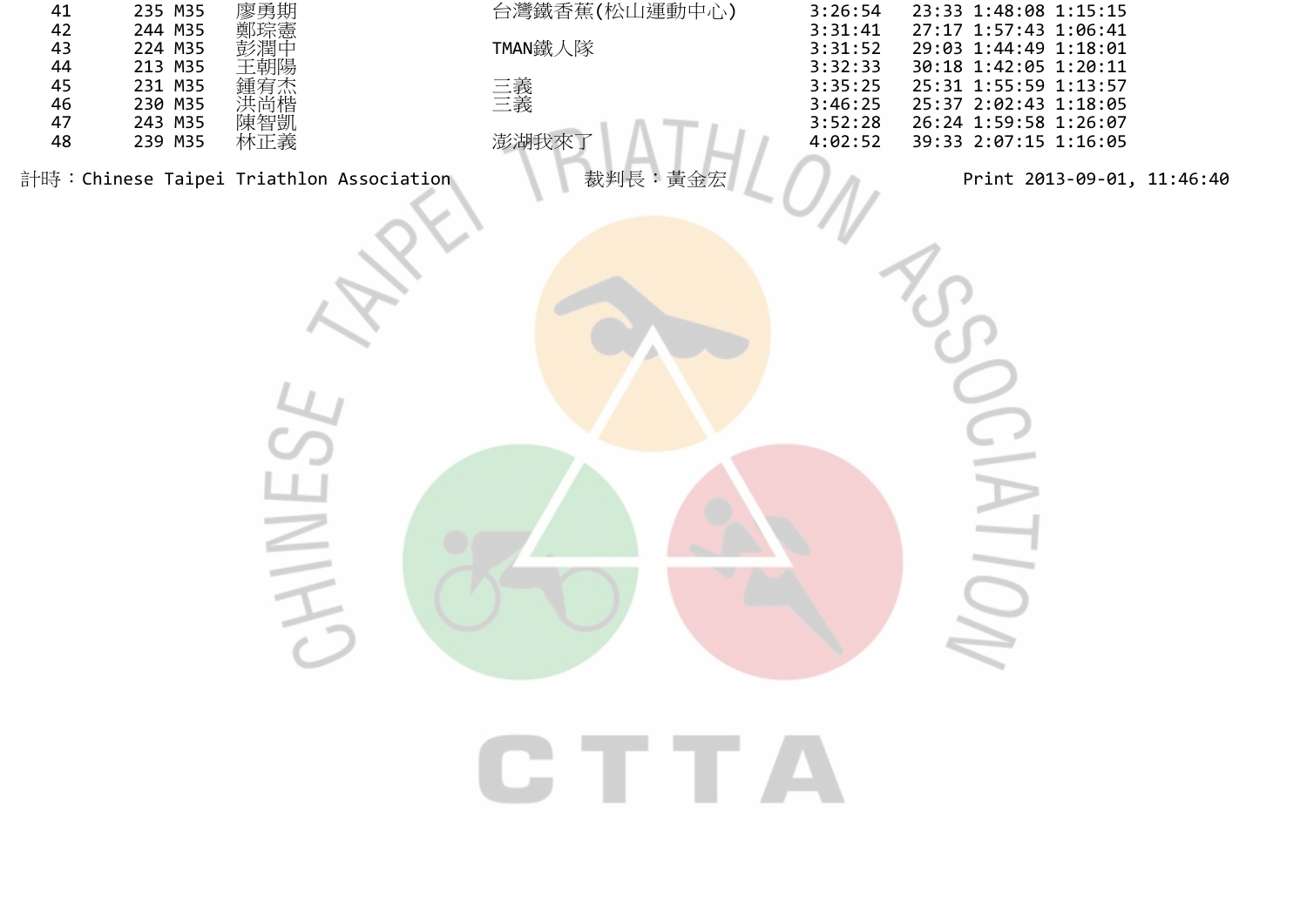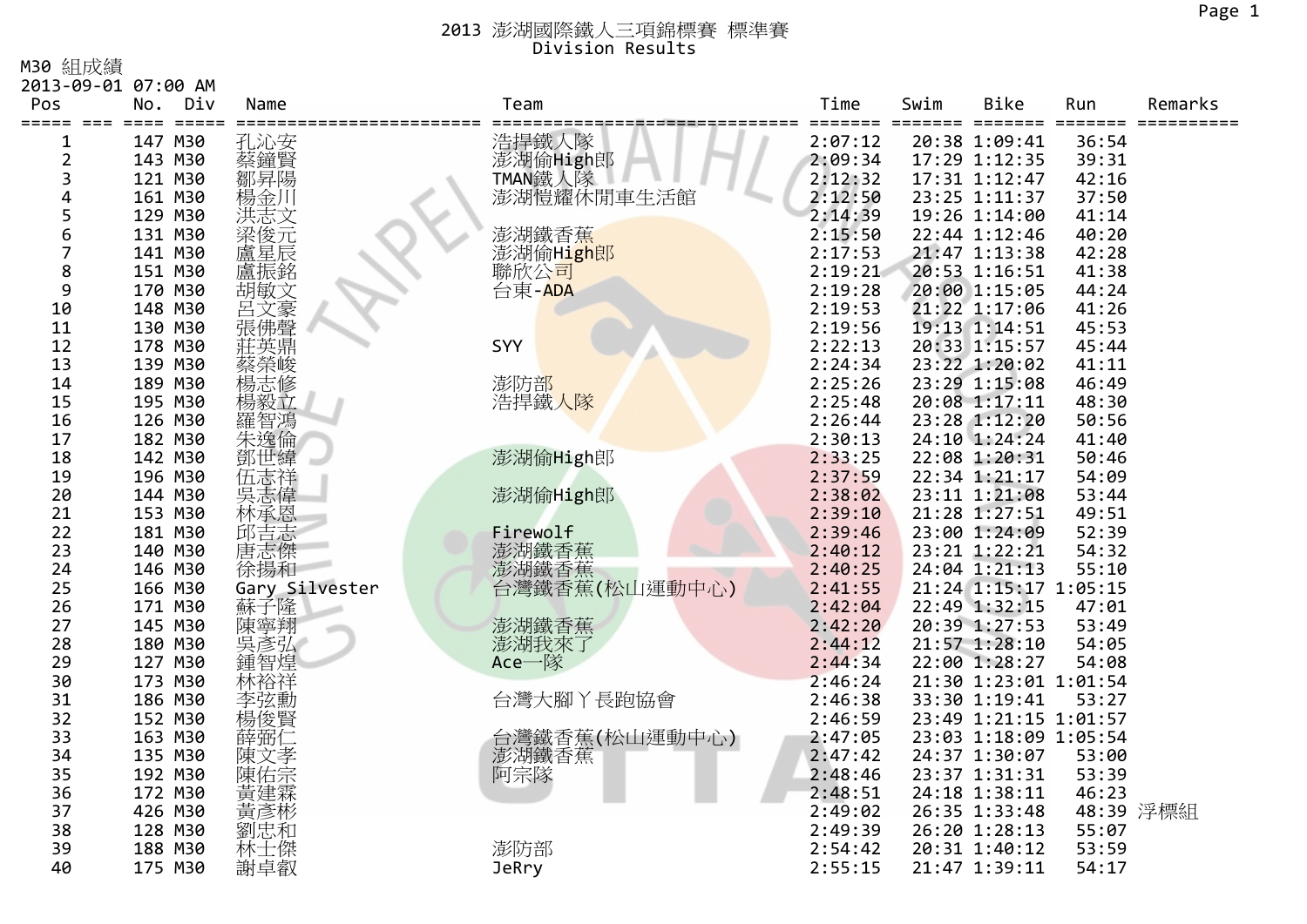M30 組成績

|                | 2013-09-01 07:00 AM |                |                              |         |         |                       |                         |           |
|----------------|---------------------|----------------|------------------------------|---------|---------|-----------------------|-------------------------|-----------|
| Pos            | Div<br>No.          | Name           | Team                         | Time    | Swim    | Bike                  | Run                     | Remarks   |
| =====          | $=$ $=$ $=$ $=$ $=$ |                |                              | =====   | ======= | $=$ $=$<br>=====      | $=$ $=$ $=$ $=$ $=$ $=$ |           |
| 1              | 147 M30             | 孔沁安            |                              | 2:07:12 |         | 20:38 1:09:41         | 36:54                   |           |
| 2              | 143 M30             | 蔡鐘賢            | 浩捍鐵人隊<br>澎湖偷High郎<br>TMAN鐵人隊 | 2:09:34 |         | 17:29 1:12:35         | 39:31                   |           |
| 3              | 121 M30             | 鄒昇陽            |                              | 2:12:32 |         | 17:31 1:12:47         | 42:16                   |           |
| 4              | 161 M30             | 楊金川            | 澎湖愷耀休閒車生活館                   | 2:12:50 |         | 23:25 1:11:37         | 37:50                   |           |
| 5              | 129 M30             | 洪志文            |                              | 2:14:39 |         | 19:26 1:14:00         | 41:14                   |           |
| 6              | 131 M30             | 梁俊元            | 澎湖鐵香蕉                        | 2:15:50 |         | 22:44 1:12:46         | 40:20                   |           |
| $\overline{7}$ | 141 M30             | 盧星辰            | 澎湖偷H <mark>igh</mark> 郎      | 2:17:53 |         | 21:47 1:13:38         | 42:28                   |           |
| 8              | 151 M30             | 盧振銘            | 聯欣公司                         | 2:19:21 |         | 20:53 1:16:51         | 41:38                   |           |
| 9              | 170 M30             | 胡敏文            | 台東-ADA                       | 2:19:28 |         | 20:00 1:15:05         | 44:24                   |           |
| 10             | 148 M30             | 呂文豪<br>張佛聲     |                              | 2:19:53 |         | 21:22 1:17:06         | 41:26                   |           |
| 11             | 130 M30             |                |                              | 2:19:56 |         | 19:13 1:14:51         | 45:53                   |           |
| 12             | 178 M30             | 莊英鼎            | SYY                          | 2:22:13 |         | 20:33 1:15:57         | 45:44                   |           |
| 13             | 139 M30             | 蔡榮峻            |                              | 2:24:34 |         | 23:22 1:20:02         | 41:11                   |           |
| 14             | 189 M30             |                | 澎防部                          | 2:25:26 |         | 23:29 1:15:08         | 46:49                   |           |
| 15             | 195 M30             | 楊毅立            | 浩捍鐵人隊                        | 2:25:48 |         | 20:08 1:17:11         | 48:30                   |           |
| 16             | 126 M30             | 羅智鴻            |                              | 2:26:44 |         | 23:28 1:12:20         | 50:56                   |           |
| 17             | 182 M30             |                |                              | 2:30:13 |         | 24:10 1:24:24         | 41:40                   |           |
| 18             | 142 M30             |                | 澎湖偷High郎                     | 2:33:25 |         | 22:08 1:20:31         | 50:46                   |           |
| 19             | 196 M30             | 伍志祥            |                              | 2:37:59 |         | 22:34 1:21:17         | 54:09                   |           |
| 20             | 144 M30             | 吳志偉            | 澎湖偷High郎                     | 2:38:02 |         | 23:11 1:21:08         | 53:44                   |           |
| 21             | 153 M30             | 林承恩            |                              | 2:39:10 |         | 21:28 1:27:51         | 49:51                   |           |
| 22             | 181 M30             | 邱吉志            | Firewolf                     | 2:39:46 |         | 23:00 1:24:09         | 52:39                   |           |
| 23             | 140 M30             | 唐志傑            | 澎湖鐵香蕉                        | 2:40:12 |         | 23:21 1:22:21         | 54:32                   |           |
| 24             | 146 M30             | 徐揚和            | 澎湖鐵香蕉                        | 2:40:25 |         | 24:04 1:21:13         | 55:10                   |           |
| 25             | 166 M30             | Gary Silvester | 台灣鐵香蕉(松山運動中心)                | 2:41:55 |         | 21:24 1:15:17 1:05:15 |                         |           |
| 26             | 171 M30             | 蘇子隆            |                              | 2:42:04 |         | 22:49 1:32:15         | 47:01                   |           |
| 27             | 145 M30             | 陳寧翔<br>吳彥弘     | 澎湖鐵香蕉                        | 2:42:20 |         | 20:39 1:27:53         | 53:49                   |           |
| 28             | 180 M30             |                | 澎湖我來了                        | 2:44:12 |         | 21:57 1:28:10         | 54:05                   |           |
| 29             | 127 M30             | 鍾智煌            | Ace一隊                        | 2:44:34 |         | 22:00 1:28:27         | 54:08                   |           |
| 30             | 173 M30             | 林裕祥            |                              | 2:46:24 |         | 21:30 1:23:01 1:01:54 |                         |           |
| 31             | 186 M30             | 李弦勳            | 台灣大腳丫長跑協會                    | 2:46:38 |         | 33:30 1:19:41         | 53:27                   |           |
| 32             | 152 M30             | 楊俊賢            |                              | 2:46:59 |         | 23:49 1:21:15 1:01:57 |                         |           |
| 33             | 163 M30             | 薛弼             | 台灣鐵香蕉(松山運動中心)                | 2:47:05 |         | 23:03 1:18:09 1:05:54 |                         |           |
| 34             | 135 M30             | 陳文孝            | 澎湖鐵香蕉                        | 2:47:42 |         | 24:37 1:30:07         | 53:00                   |           |
| 35             | 192 M30             | 陳佑宗            | 阿宗隊                          | 2:48:46 |         | 23:37 1:31:31         | 53:39                   |           |
| 36             | 172 M30             | 黃建霖            |                              | 2:48:51 |         | 24:18 1:38:11         | 46:23                   |           |
| 37             | 426 M30             | 黃彥彬            |                              | 2:49:02 |         | 26:35 1:33:48         |                         | 48:39 浮標組 |
| 38             | 128 M30             | 劉忠和            |                              | 2:49:39 |         | 26:20 1:28:13         | 55:07                   |           |
| 39             | 188 M30             | 林士傑            | 澎防部                          | 2:54:42 |         | 20:31 1:40:12         | 53:59                   |           |
| 40             | 175 M30             | 謝卓叡            | <b>JeRry</b>                 | 2:55:15 |         | 21:47 1:39:11         | 54:17                   |           |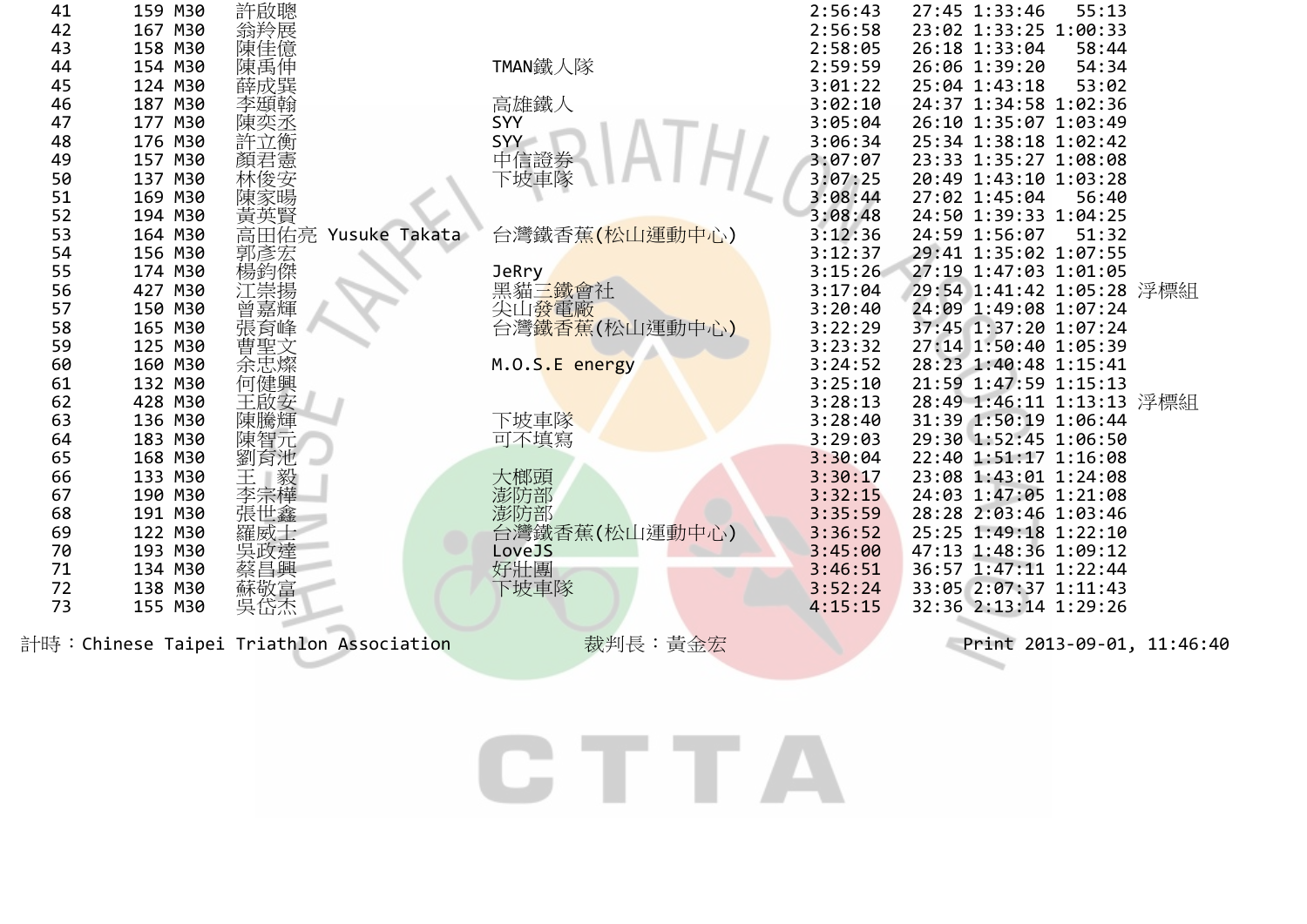|    |         | 計時:Chinese Taipei Triathlon Association                                                                  | 裁判長:黃金宏        |         | Print 2013-09-01, 11:46:40 |
|----|---------|----------------------------------------------------------------------------------------------------------|----------------|---------|----------------------------|
| 73 | 155 M30 |                                                                                                          |                | 4:15:15 | 32:36 2:13:14 1:29:26      |
| 72 | 138 M30 | 蔡昌<br>蘇敬<br><br><br><br><br><br><br><br><br><br><br><br><br><br><br><br><br><br><br><br><br>             | 下坡車隊           | 3:52:24 | 33:05 2:07:37 1:11:43      |
| 71 | 134 M30 |                                                                                                          | 好壯團            | 3:46:51 | 36:57 1:47:11 1:22:44      |
| 70 | 193 M30 | 吳政達                                                                                                      | LoveJS         | 3:45:00 | 47:13 1:48:36 1:09:12      |
| 69 | 122 M30 | 羅威士                                                                                                      | 台灣鐵香蕉(松山運動中心)  | 3:36:52 | 25:25 1:49:18 1:22:10      |
| 68 | 191 M30 | 張世鑫                                                                                                      | 澎防部            | 3:35:59 | 28:28 2:03:46 1:03:46      |
| 67 | 190 M30 |                                                                                                          |                | 3:32:15 | 24:03 1:47:05 1:21:08      |
| 66 | 133 M30 | 三<br>王<br>李宗樺                                                                                            | 大榔頭            | 3:30:17 | 23:08 1:43:01 1:24:08      |
| 65 | 168 M30 | 劉育池                                                                                                      |                | 3:30:04 | 22:40 1:51:17 1:16:08      |
| 64 | 183 M30 | 陳智元                                                                                                      | 可不填寫           | 3:29:03 | 29:30 1:52:45 1:06:50      |
| 63 | 136 M30 | 陳騰輝                                                                                                      | 下坡車隊           | 3:28:40 | 31:39 1:50:19 1:06:44      |
| 62 | 428 M30 | 王啟安                                                                                                      |                | 3:28:13 | 28:49 1:46:11 1:13:13 浮標組  |
| 61 | 132 M30 | 何健興                                                                                                      |                | 3:25:10 | 21:59 1:47:59 1:15:13      |
| 60 | 160 M30 |                                                                                                          | M.O.S.E energy | 3:24:52 | 28:23 1:40:48 1:15:41      |
| 59 | 125 M30 | 蕾聖文<br>余忠燦                                                                                               |                | 3:23:32 | 27:14 1:50:40 1:05:39      |
| 58 | 165 M30 |                                                                                                          | 台灣鐵香蕉(松山運動中心)  | 3:22:29 | 37:45 1:37:20 1:07:24      |
| 57 | 150 M30 |                                                                                                          | 尖山發電廠          | 3:20:40 | 24:09 1:49:08 1:07:24      |
| 56 | 427 M30 | ,楊江曾張<br>道:<br>『<br><br><br><br><br><br><br><br><br><br><br><br><br><br><br><br><br><br><br><br><br><br> | 黑貓三鐵會社         | 3:17:04 | 29:54 1:41:42 1:05:28 浮標組  |
| 55 | 174 M30 |                                                                                                          | JeRry          | 3:15:26 | 27:19 1:47:03 1:01:05      |
| 54 | 156 M30 | 郭彥宏                                                                                                      |                | 3:12:37 | 29:41 1:35:02 1:07:55      |
| 53 | 164 M30 | 武英賢<br>高田佑亮<br>Yusuke<br>Takata                                                                          | 台灣鐵香蕉(松山運動中心)  | 3:12:36 | 24:59 1:56:07<br>51:32     |
| 52 | 194 M30 |                                                                                                          |                | 3:08:48 | 24:50 1:39:33 1:04:25      |
| 51 | 169 M30 | 陳家暘                                                                                                      |                | 3:08:44 | 27:02 1:45:04<br>56:40     |
| 50 | 137 M30 | 林俊安                                                                                                      | 下坡車隊           | 3:07:25 | 20:49 1:43:10 1:03:28      |
| 49 | 157 M30 | 顏君憲                                                                                                      | 中信證券           | 3:07:07 | 23:33 1:35:27 1:08:08      |
| 48 | 176 M30 | 許立衡                                                                                                      | SYY            | 3:06:34 | 25:34 1:38:18 1:02:42      |
| 47 | 177 M30 | 陳奕丞                                                                                                      | SYY            | 3:05:04 | 26:10 1:35:07 1:03:49      |
| 46 | 187 M30 | 李頲翰                                                                                                      | 高雄鐵人           | 3:02:10 | 24:37 1:34:58 1:02:36      |
| 45 | 124 M30 | <b>《陳唐</b><br>陳禹成巽                                                                                       |                | 3:01:22 | 25:04 1:43:18<br>53:02     |
| 44 | 154 M30 |                                                                                                          | TMAN鐵人隊        | 2:59:59 | 54:34<br>26:06 1:39:20     |
| 43 | 158 M30 |                                                                                                          |                | 2:58:05 | 26:18 1:33:04<br>58:44     |
| 42 | 167 M30 | 翁羚展                                                                                                      |                | 2:56:58 | 23:02 1:33:25 1:00:33      |
| 41 | 159 M30 | 許啟聰                                                                                                      |                | 2:56:43 | 55:13<br>27:45 1:33:46     |

CTTA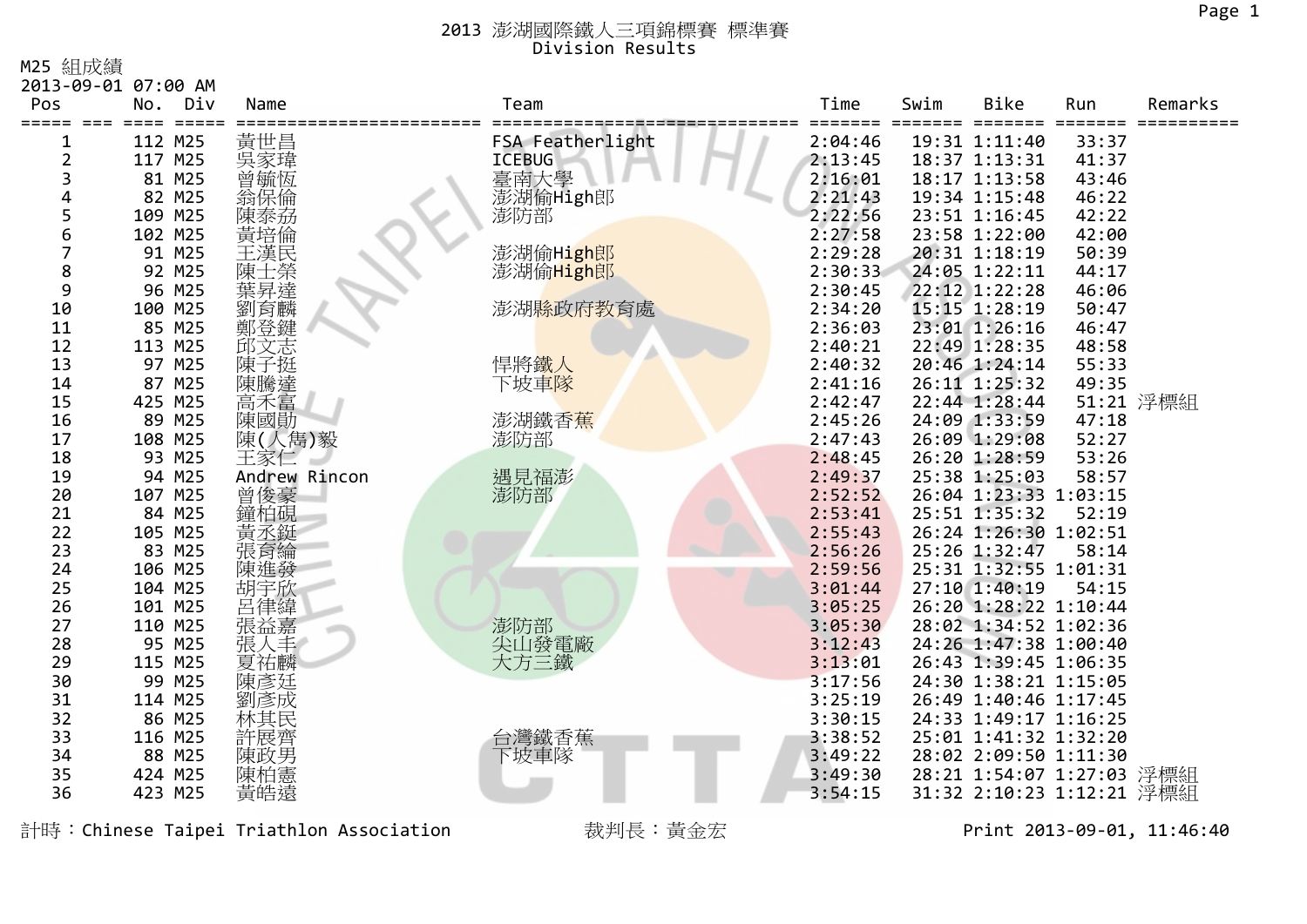M25 組成績

| Pos         | 2013-09-01 07:00 AM<br>Div<br>No. | Name          | Team             | Time               | Swim | <b>Bike</b>                            | Run   | Remarks   |
|-------------|-----------------------------------|---------------|------------------|--------------------|------|----------------------------------------|-------|-----------|
| $=$ $=$ $=$ |                                   |               |                  |                    |      |                                        |       |           |
| 1           | 112 M25                           | 黃世昌           | FSA Featherlight | 2:04:46            |      | 19:31 1:11:40                          | 33:37 |           |
| 2           | 117 M25                           | 冥家瑋           | <b>ICEBUG</b>    | 2:13:45            |      | 18:37 1:13:31                          | 41:37 |           |
| 3           | 81 M25                            | 曾毓恆           | 臺南大學             | 2:16:01            |      | 18:17 1:13:58                          | 43:46 |           |
| 4           | 82 M25                            | 翁保倫           | 澎湖偷High郎         | 2:21:43            |      | 19:34 1:15:48                          | 46:22 |           |
| 5           | 109 M25                           | 陳泰刕           | 澎防部              | 2:22:56            |      | 23:51 1:16:45                          | 42:22 |           |
| 6           | 102 M25                           | 黃培倫           |                  | 2:27:58            |      | 23:58 1:22:00                          | 42:00 |           |
| 7           | 91 M25                            | 主漢民           | 澎湖偷High郎         | 2:29:28            |      | 20:31 1:18:19                          | 50:39 |           |
| 8           | 92 M25                            | 陳士榮           | 澎湖偷High郎         | 2:30:33            |      | 24:05 1:22:11                          | 44:17 |           |
| 9           | 96 M25                            | 葉昇達           |                  | 2:30:45            |      | 22:12 1:22:28                          | 46:06 |           |
| 10          | 100 M25                           | 劉育麟           | 澎湖縣政府教育處         | 2:34:20            |      | 15:15 1:28:19                          | 50:47 |           |
| 11          | 85 M25                            | 鄭登鍵           |                  | 2:36:03            |      | 23:01 1:26:16                          | 46:47 |           |
| 12          | 113 M25                           | 邱文志           |                  | 2:40:21            |      | 22:49 1:28:35                          | 48:58 |           |
| 13          | 97 M25                            | 陳             | 悍將鐵人             | 2:40:32            |      | 20:46 1:24:14                          | 55:33 |           |
| 14          | 87 M25                            | 陳騰達           | 下坡車隊             | 2:41:16            |      | 26:11 1:25:32                          | 49:35 |           |
| 15          | 425 M25                           | 高禾富           |                  | 2:42:47            |      | 22:44 1:28:44                          |       | 51:21 浮標組 |
| 16          | 89 M25                            | 陳國勛           | 澎湖鐵香蕉            | 2:45:26            |      | 24:09 1:33:59                          | 47:18 |           |
| 17          | 108 M25                           | 陳(人雋)毅        | 澎防部              | 2:47:43            |      | 26:09 1:29:08                          | 52:27 |           |
| 18          | 93 M25                            | 王家仁           |                  | 2:48:45            |      | 26:20 1:28:59                          | 53:26 |           |
| 19          | 94 M25                            | Andrew Rincon | 遇見福澎             | 2:49:37            |      | 25:38 1:25:03                          | 58:57 |           |
| 20<br>21    | 107 M25<br>84 M25                 | 曾俊豪           | 澎防部              | 2:52:52<br>2:53:41 |      | 26:04 1:23:33 1:03:15<br>25:51 1:35:32 | 52:19 |           |
| 22          | 105 M25                           | 鐘柏硯<br>黃丞鋌    |                  | 2:55:43            |      | 26:24 1:26:30 1:02:51                  |       |           |
| 23          | 83 M25                            | 張育綸           |                  | 2:56:26            |      | 25:26 1:32:47                          | 58:14 |           |
| 24          | 106 M25                           | 陳進發           |                  | 2:59:56            |      | 25:31 1:32:55 1:01:31                  |       |           |
| 25          | 104 M25                           | 胡宇欣           |                  | 3:01:44            |      | 27:10 1:40:19                          | 54:15 |           |
| 26          | 101 M25                           | 呂律緯           |                  | 3:05:25            |      | 26:20 1:28:22 1:10:44                  |       |           |
| 27          | 110 M25                           | 張益嘉           | 澎防部              | 3:05:30            |      | 28:02 1:34:52 1:02:36                  |       |           |
| 28          | 95 M25                            | 人丰<br>張       | 尖山發電廠            | 3:12:43            |      | 24:26 1:47:38 1:00:40                  |       |           |
| 29          | 115 M25                           | 夏祐麟           | 大方三鐵             | 3:13:01            |      | 26:43 1:39:45 1:06:35                  |       |           |
| 30          | 99 M25                            | 陳彥廷           |                  | 3:17:56            |      | 24:30 1:38:21 1:15:05                  |       |           |
| 31          | 114 M25                           | 劉彥成           |                  | 3:25:19            |      | 26:49 1:40:46 1:17:45                  |       |           |
| 32          | 86 M25                            | 林其民           |                  | 3:30:15            |      | 24:33 1:49:17 1:16:25                  |       |           |
| 33          | 116 M25                           | 許展齊           | 台灣鐵香蕉            | 3:38:52            |      | 25:01 1:41:32 1:32:20                  |       |           |
| 34          | 88 M25                            | 陳政男           | 下坡車隊             | 3:49:22            |      | 28:02 2:09:50 1:11:30                  |       |           |
| 35          | 424 M25                           | 陳柏憲           |                  | 3:49:30            |      | 28:21 1:54:07 1:27:03 浮標組              |       |           |
| 36          | 423 M25                           | 黃皓遠           |                  | 3:54:15            |      | 31:32 2:10:23 1:12:21 浮標組              |       |           |

計時:Chinese Taipei Triathlon Association 裁判長:黃金宏 Print 2013-09-01, 11:46:40